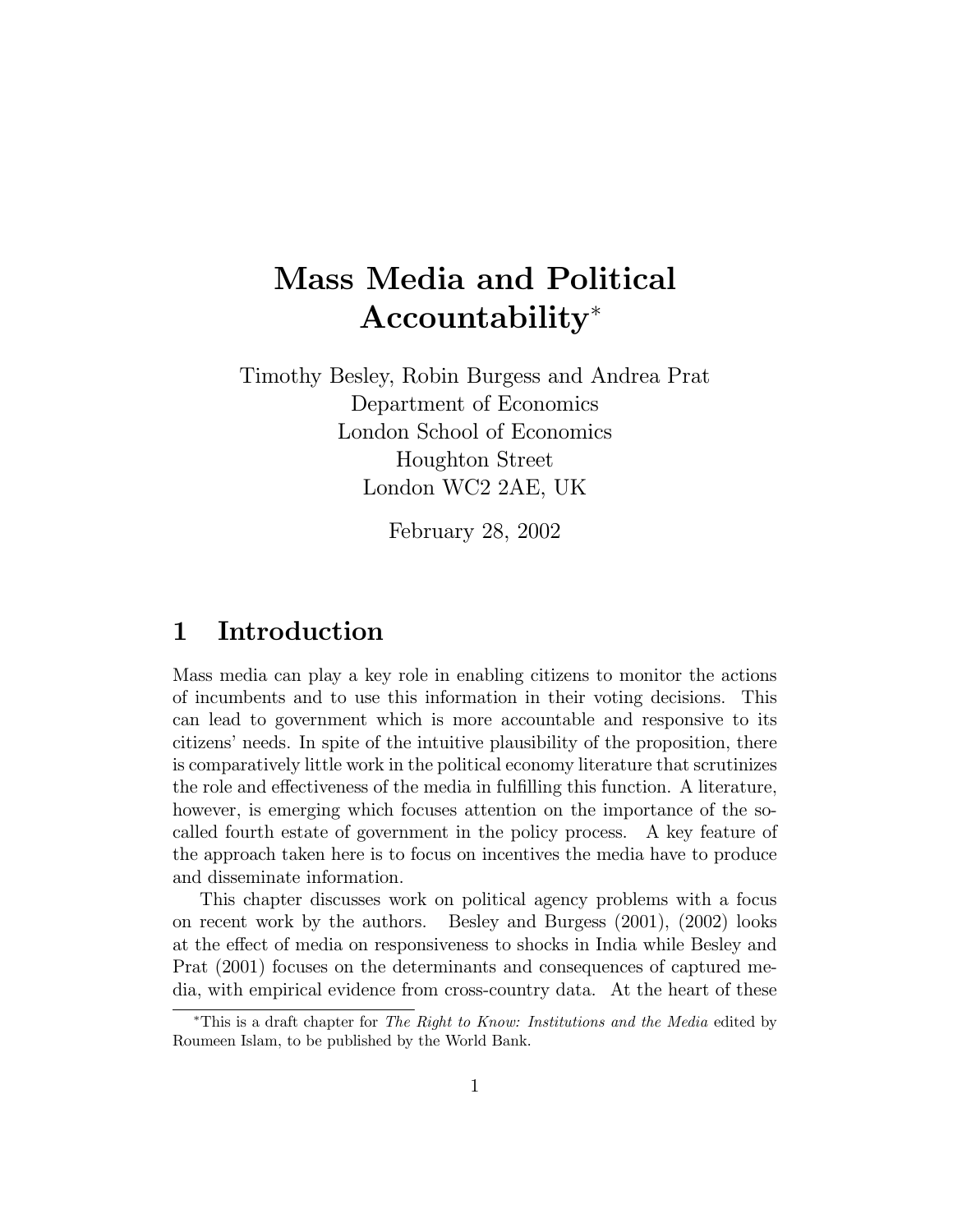# Mass Media and Political Accountability<sup>∗</sup>

Timothy Besley, Robin Burgess and Andrea Prat Department of Economics London School of Economics Houghton Street London WC2 2AE, UK

February 28, 2002

# 1 Introduction

Mass media can play a key role in enabling citizens to monitor the actions of incumbents and to use this information in their voting decisions. This can lead to government which is more accountable and responsive to its citizens' needs. In spite of the intuitive plausibility of the proposition, there is comparatively little work in the political economy literature that scrutinizes the role and effectiveness of the media in fulfilling this function. A literature, however, is emerging which focuses attention on the importance of the socalled fourth estate of government in the policy process. A key feature of the approach taken here is to focus on incentives the media have to produce and disseminate information.

This chapter discusses work on political agency problems with a focus on recent work by the authors. Besley and Burgess (2001), (2002) looks at the effect of media on responsiveness to shocks in India while Besley and Prat (2001) focuses on the determinants and consequences of captured media, with empirical evidence from cross-country data. At the heart of these

<sup>∗</sup>This is a draft chapter for The Right to Know: Institutions and the Media edited by Roumeen Islam, to be published by the World Bank.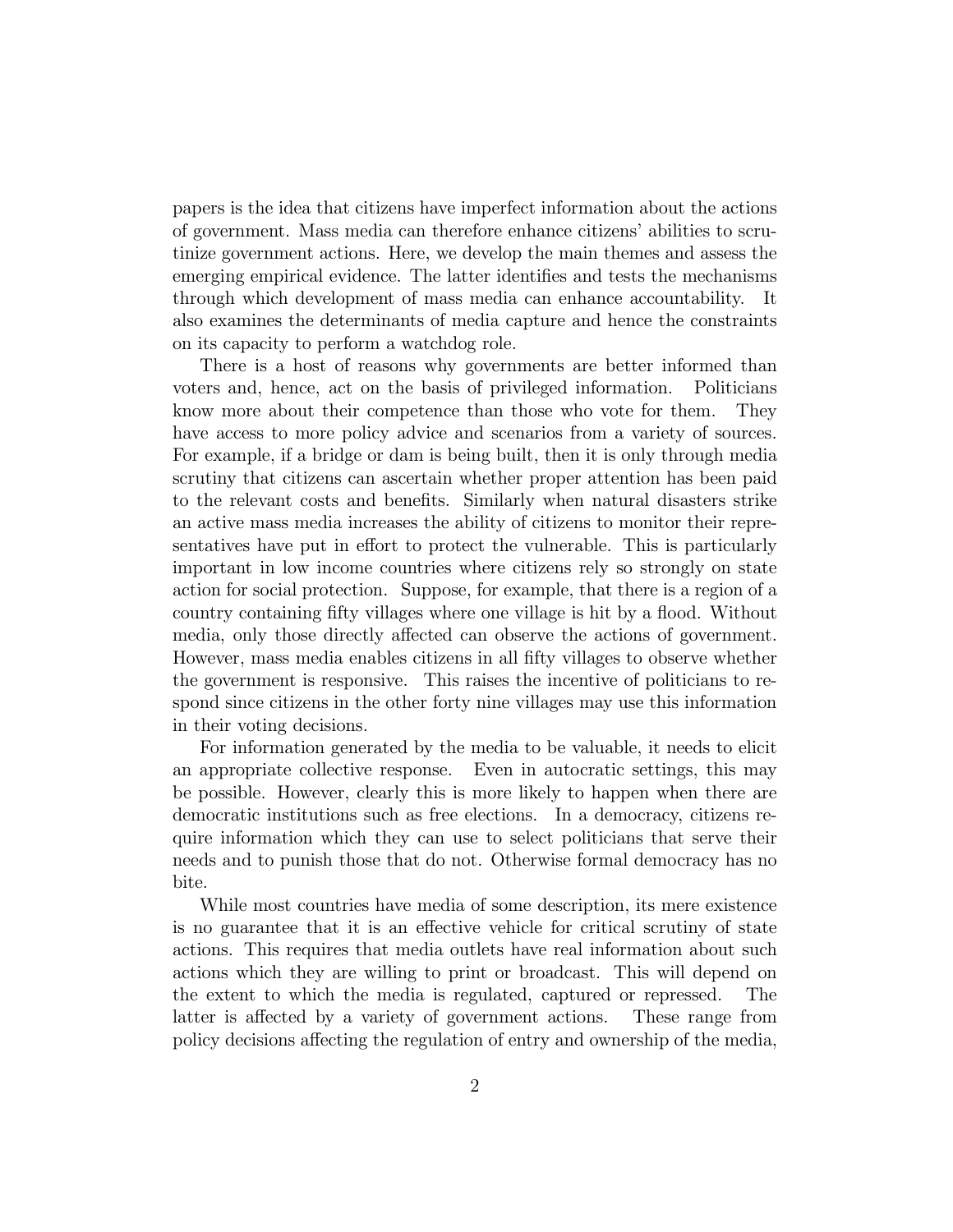papers is the idea that citizens have imperfect information about the actions of government. Mass media can therefore enhance citizens' abilities to scrutinize government actions. Here, we develop the main themes and assess the emerging empirical evidence. The latter identifies and tests the mechanisms through which development of mass media can enhance accountability. It also examines the determinants of media capture and hence the constraints on its capacity to perform a watchdog role.

There is a host of reasons why governments are better informed than voters and, hence, act on the basis of privileged information. Politicians know more about their competence than those who vote for them. They have access to more policy advice and scenarios from a variety of sources. For example, if a bridge or dam is being built, then it is only through media scrutiny that citizens can ascertain whether proper attention has been paid to the relevant costs and benefits. Similarly when natural disasters strike an active mass media increases the ability of citizens to monitor their representatives have put in effort to protect the vulnerable. This is particularly important in low income countries where citizens rely so strongly on state action for social protection. Suppose, for example, that there is a region of a country containing fifty villages where one village is hit by a flood. Without media, only those directly affected can observe the actions of government. However, mass media enables citizens in all fifty villages to observe whether the government is responsive. This raises the incentive of politicians to respond since citizens in the other forty nine villages may use this information in their voting decisions.

For information generated by the media to be valuable, it needs to elicit an appropriate collective response. Even in autocratic settings, this may be possible. However, clearly this is more likely to happen when there are democratic institutions such as free elections. In a democracy, citizens require information which they can use to select politicians that serve their needs and to punish those that do not. Otherwise formal democracy has no bite.

While most countries have media of some description, its mere existence is no guarantee that it is an effective vehicle for critical scrutiny of state actions. This requires that media outlets have real information about such actions which they are willing to print or broadcast. This will depend on the extent to which the media is regulated, captured or repressed. The latter is affected by a variety of government actions. These range from policy decisions affecting the regulation of entry and ownership of the media,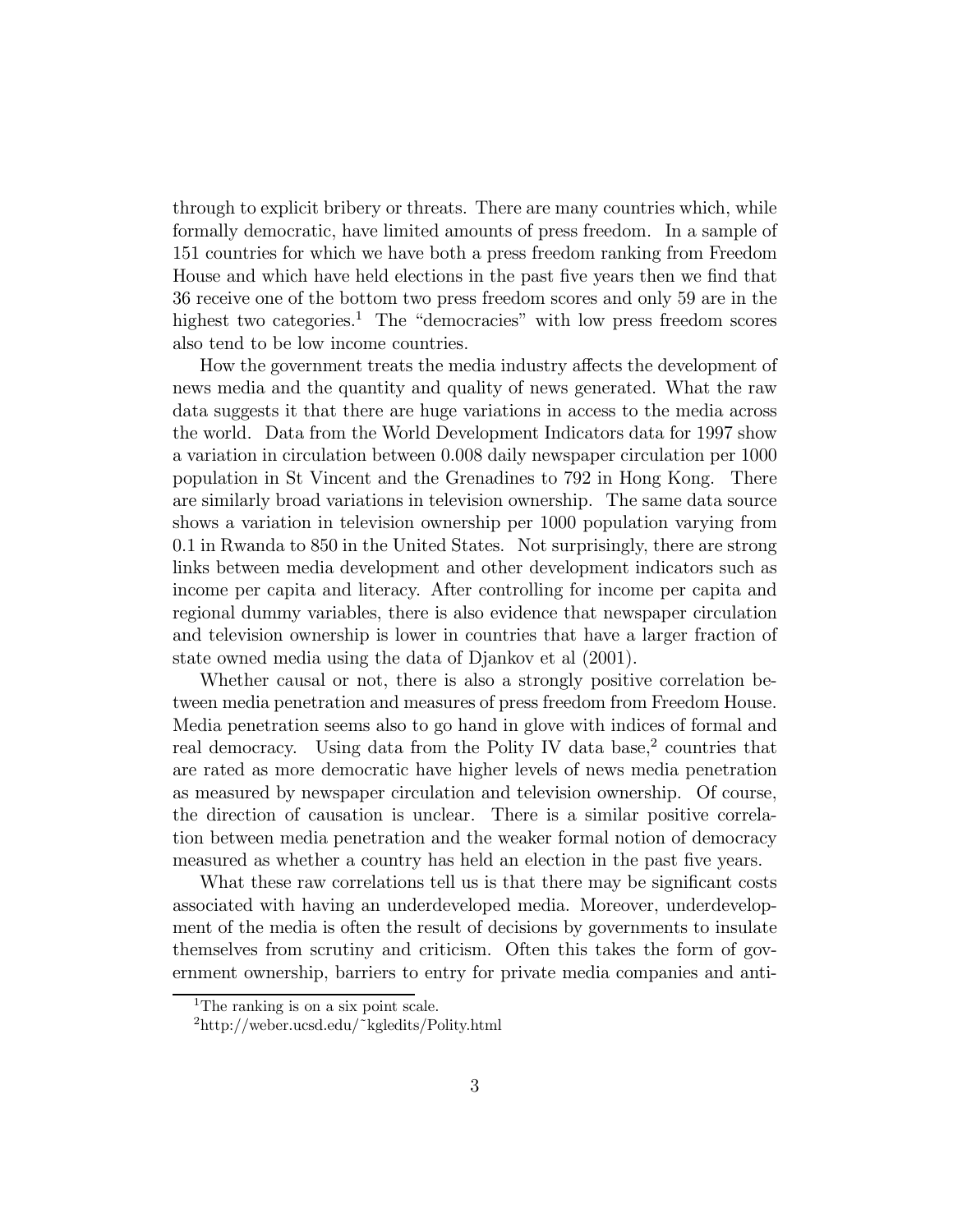through to explicit bribery or threats. There are many countries which, while formally democratic, have limited amounts of press freedom. In a sample of 151 countries for which we have both a press freedom ranking from Freedom House and which have held elections in the past five years then we find that 36 receive one of the bottom two press freedom scores and only 59 are in the highest two categories.<sup>1</sup> The "democracies" with low press freedom scores also tend to be low income countries.

How the government treats the media industry affects the development of news media and the quantity and quality of news generated. What the raw data suggests it that there are huge variations in access to the media across the world. Data from the World Development Indicators data for 1997 show a variation in circulation between 0.008 daily newspaper circulation per 1000 population in St Vincent and the Grenadines to 792 in Hong Kong. There are similarly broad variations in television ownership. The same data source shows a variation in television ownership per 1000 population varying from 0.1 in Rwanda to 850 in the United States. Not surprisingly, there are strong links between media development and other development indicators such as income per capita and literacy. After controlling for income per capita and regional dummy variables, there is also evidence that newspaper circulation and television ownership is lower in countries that have a larger fraction of state owned media using the data of Djankov et al (2001).

Whether causal or not, there is also a strongly positive correlation between media penetration and measures of press freedom from Freedom House. Media penetration seems also to go hand in glove with indices of formal and real democracy. Using data from the Polity IV data base, $\frac{2}{3}$  countries that are rated as more democratic have higher levels of news media penetration as measured by newspaper circulation and television ownership. Of course, the direction of causation is unclear. There is a similar positive correlation between media penetration and the weaker formal notion of democracy measured as whether a country has held an election in the past five years.

What these raw correlations tell us is that there may be significant costs associated with having an underdeveloped media. Moreover, underdevelopment of the media is often the result of decisions by governments to insulate themselves from scrutiny and criticism. Often this takes the form of government ownership, barriers to entry for private media companies and anti-

<sup>&</sup>lt;sup>1</sup>The ranking is on a six point scale.

<sup>2</sup>http://weber.ucsd.edu/˜kgledits/Polity.html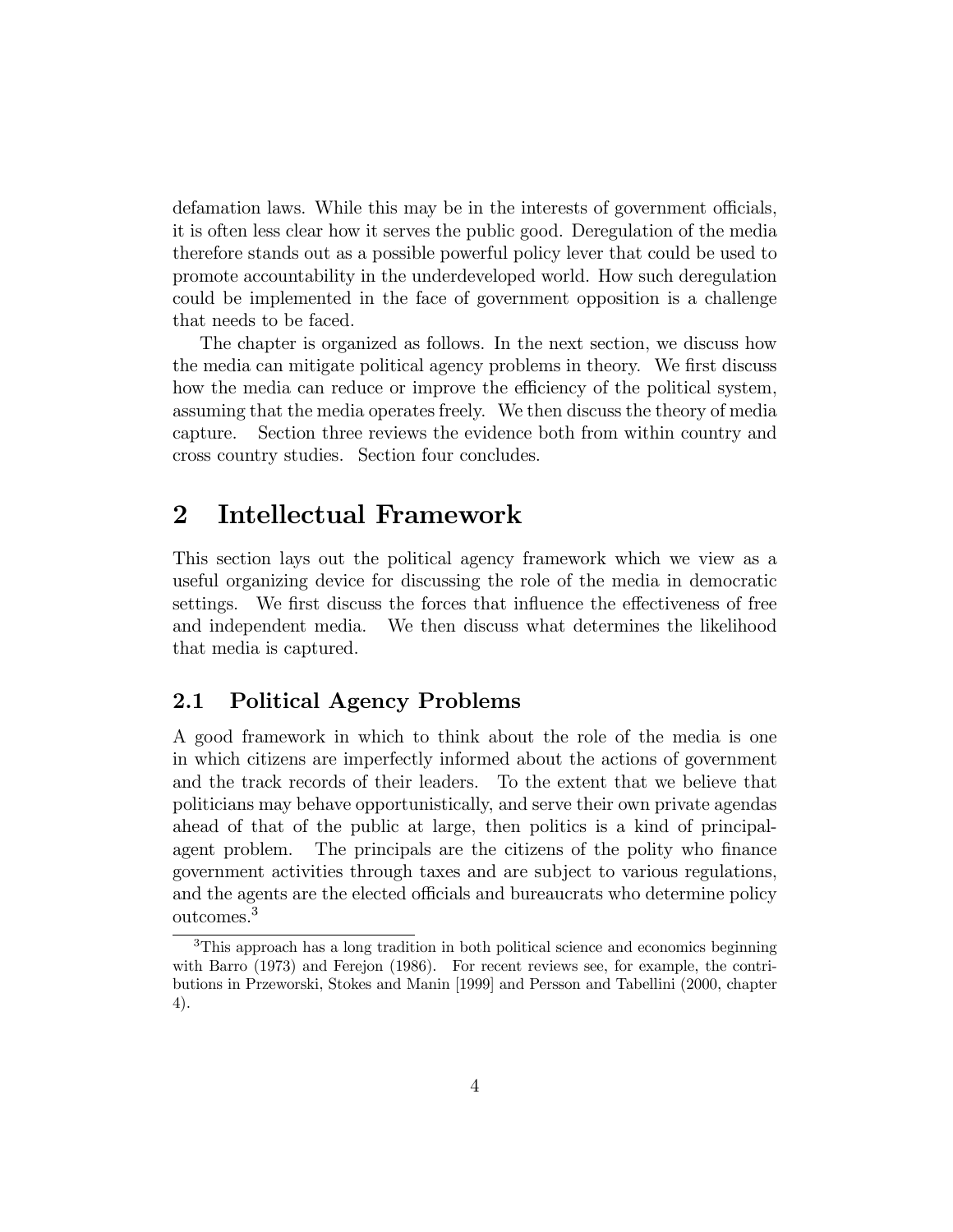defamation laws. While this may be in the interests of government officials, it is often less clear how it serves the public good. Deregulation of the media therefore stands out as a possible powerful policy lever that could be used to promote accountability in the underdeveloped world. How such deregulation could be implemented in the face of government opposition is a challenge that needs to be faced.

The chapter is organized as follows. In the next section, we discuss how the media can mitigate political agency problems in theory. We first discuss how the media can reduce or improve the efficiency of the political system, assuming that the media operates freely. We then discuss the theory of media capture. Section three reviews the evidence both from within country and cross country studies. Section four concludes.

# 2 Intellectual Framework

This section lays out the political agency framework which we view as a useful organizing device for discussing the role of the media in democratic settings. We first discuss the forces that influence the effectiveness of free and independent media. We then discuss what determines the likelihood that media is captured.

### 2.1 Political Agency Problems

A good framework in which to think about the role of the media is one in which citizens are imperfectly informed about the actions of government and the track records of their leaders. To the extent that we believe that politicians may behave opportunistically, and serve their own private agendas ahead of that of the public at large, then politics is a kind of principalagent problem. The principals are the citizens of the polity who finance government activities through taxes and are subject to various regulations, and the agents are the elected officials and bureaucrats who determine policy outcomes.<sup>3</sup>

<sup>&</sup>lt;sup>3</sup>This approach has a long tradition in both political science and economics beginning with Barro (1973) and Ferejon (1986). For recent reviews see, for example, the contributions in Przeworski, Stokes and Manin [1999] and Persson and Tabellini (2000, chapter 4).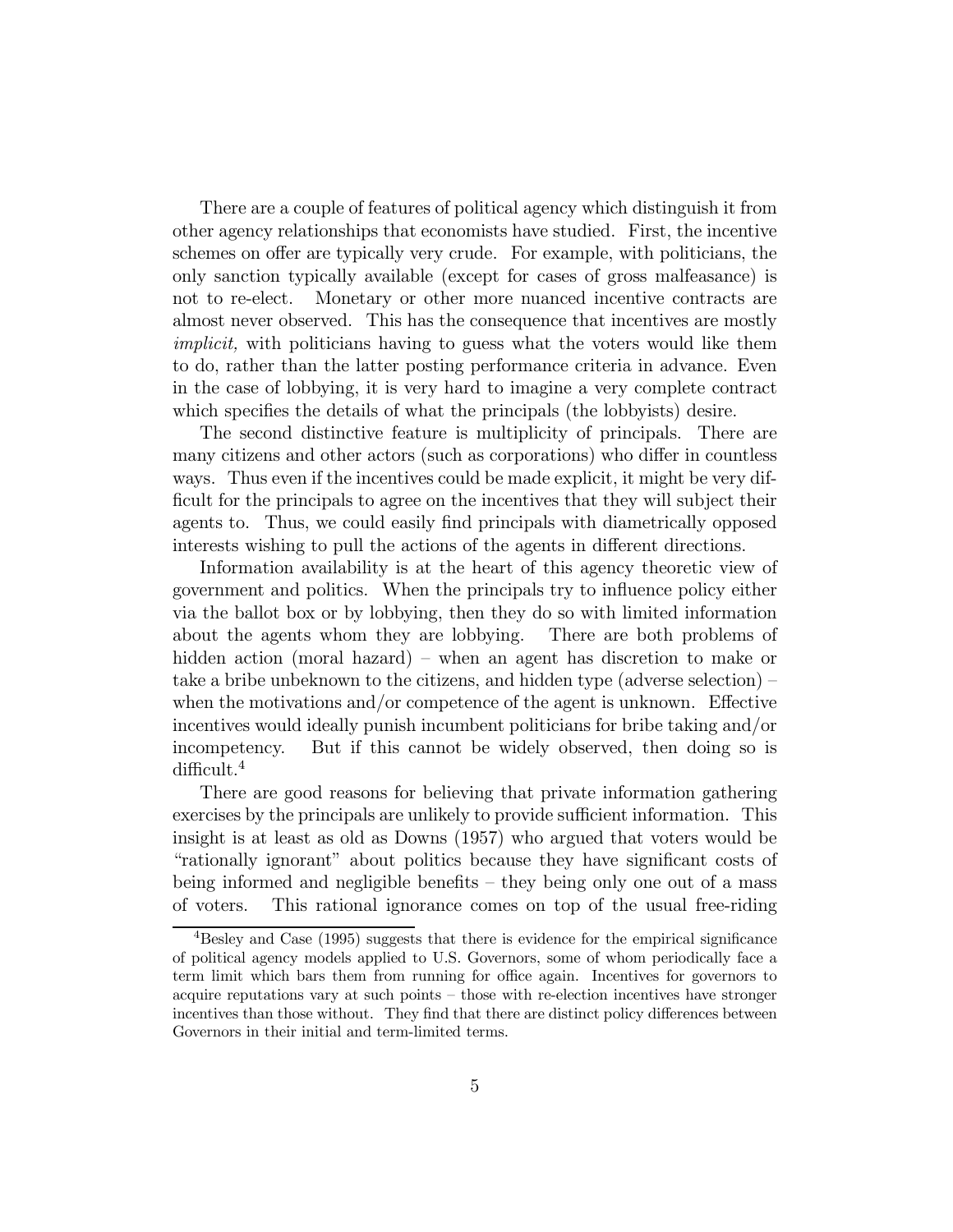There are a couple of features of political agency which distinguish it from other agency relationships that economists have studied. First, the incentive schemes on offer are typically very crude. For example, with politicians, the only sanction typically available (except for cases of gross malfeasance) is not to re-elect. Monetary or other more nuanced incentive contracts are almost never observed. This has the consequence that incentives are mostly implicit, with politicians having to guess what the voters would like them to do, rather than the latter posting performance criteria in advance. Even in the case of lobbying, it is very hard to imagine a very complete contract which specifies the details of what the principals (the lobbyists) desire.

The second distinctive feature is multiplicity of principals. There are many citizens and other actors (such as corporations) who differ in countless ways. Thus even if the incentives could be made explicit, it might be very difficult for the principals to agree on the incentives that they will subject their agents to. Thus, we could easily find principals with diametrically opposed interests wishing to pull the actions of the agents in different directions.

Information availability is at the heart of this agency theoretic view of government and politics. When the principals try to influence policy either via the ballot box or by lobbying, then they do so with limited information about the agents whom they are lobbying. There are both problems of hidden action (moral hazard) – when an agent has discretion to make or take a bribe unbeknown to the citizens, and hidden type (adverse selection) when the motivations and/or competence of the agent is unknown. Effective incentives would ideally punish incumbent politicians for bribe taking and/or incompetency. But if this cannot be widely observed, then doing so is difficult.<sup>4</sup>

There are good reasons for believing that private information gathering exercises by the principals are unlikely to provide sufficient information. This insight is at least as old as Downs (1957) who argued that voters would be "rationally ignorant" about politics because they have significant costs of being informed and negligible benefits — they being only one out of a mass of voters. This rational ignorance comes on top of the usual free-riding

<sup>4</sup>Besley and Case (1995) suggests that there is evidence for the empirical significance of political agency models applied to U.S. Governors, some of whom periodically face a term limit which bars them from running for office again. Incentives for governors to acquire reputations vary at such points — those with re-election incentives have stronger incentives than those without. They find that there are distinct policy differences between Governors in their initial and term-limited terms.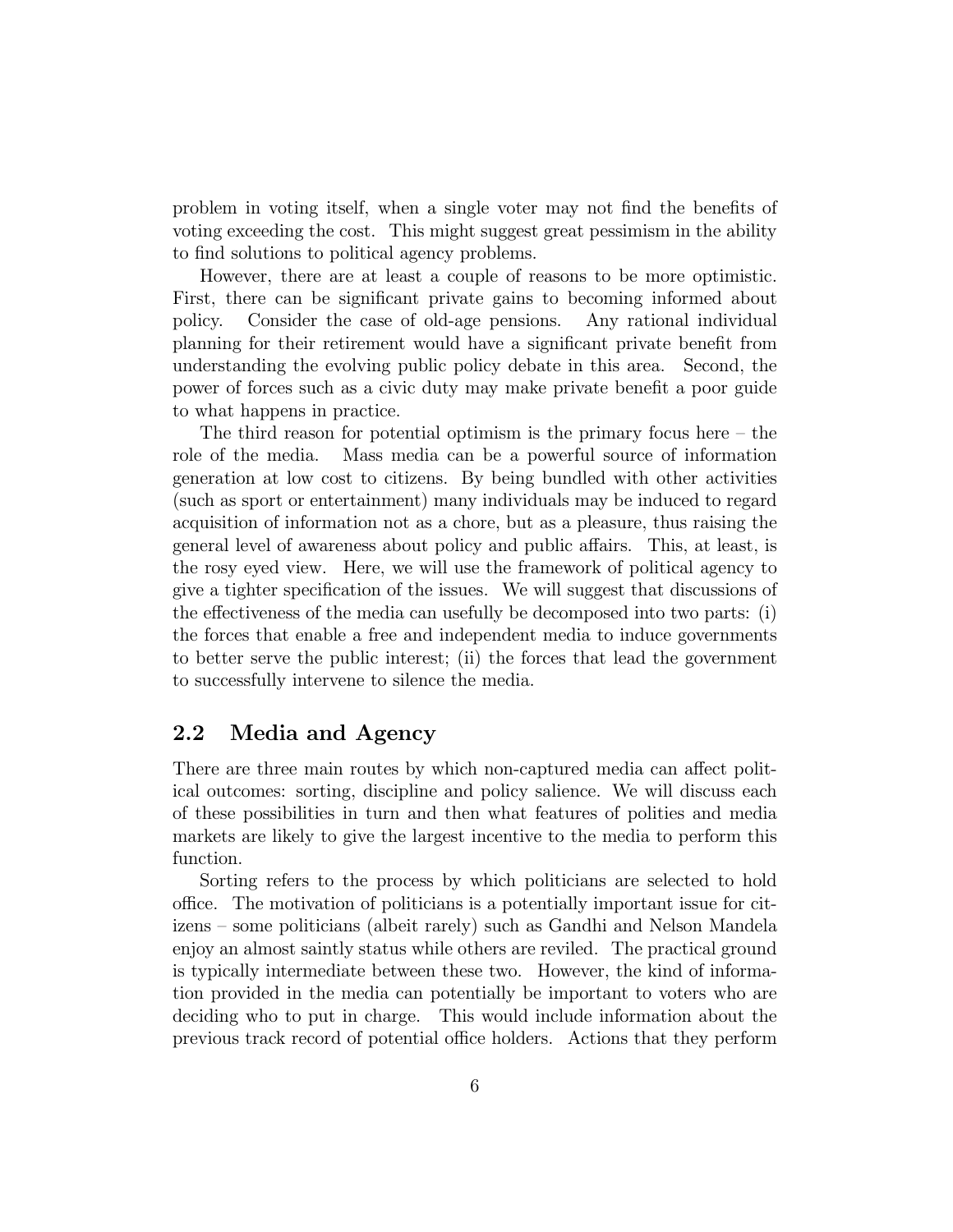problem in voting itself, when a single voter may not find the benefits of voting exceeding the cost. This might suggest great pessimism in the ability to find solutions to political agency problems.

However, there are at least a couple of reasons to be more optimistic. First, there can be significant private gains to becoming informed about policy. Consider the case of old-age pensions. Any rational individual planning for their retirement would have a significant private benefit from understanding the evolving public policy debate in this area. Second, the power of forces such as a civic duty may make private benefit a poor guide to what happens in practice.

The third reason for potential optimism is the primary focus here  $-$  the role of the media. Mass media can be a powerful source of information generation at low cost to citizens. By being bundled with other activities (such as sport or entertainment) many individuals may be induced to regard acquisition of information not as a chore, but as a pleasure, thus raising the general level of awareness about policy and public affairs. This, at least, is the rosy eyed view. Here, we will use the framework of political agency to give a tighter specification of the issues. We will suggest that discussions of the effectiveness of the media can usefully be decomposed into two parts: (i) the forces that enable a free and independent media to induce governments to better serve the public interest; (ii) the forces that lead the government to successfully intervene to silence the media.

### 2.2 Media and Agency

There are three main routes by which non-captured media can affect political outcomes: sorting, discipline and policy salience. We will discuss each of these possibilities in turn and then what features of polities and media markets are likely to give the largest incentive to the media to perform this function.

Sorting refers to the process by which politicians are selected to hold office. The motivation of politicians is a potentially important issue for citizens — some politicians (albeit rarely) such as Gandhi and Nelson Mandela enjoy an almost saintly status while others are reviled. The practical ground is typically intermediate between these two. However, the kind of information provided in the media can potentially be important to voters who are deciding who to put in charge. This would include information about the previous track record of potential office holders. Actions that they perform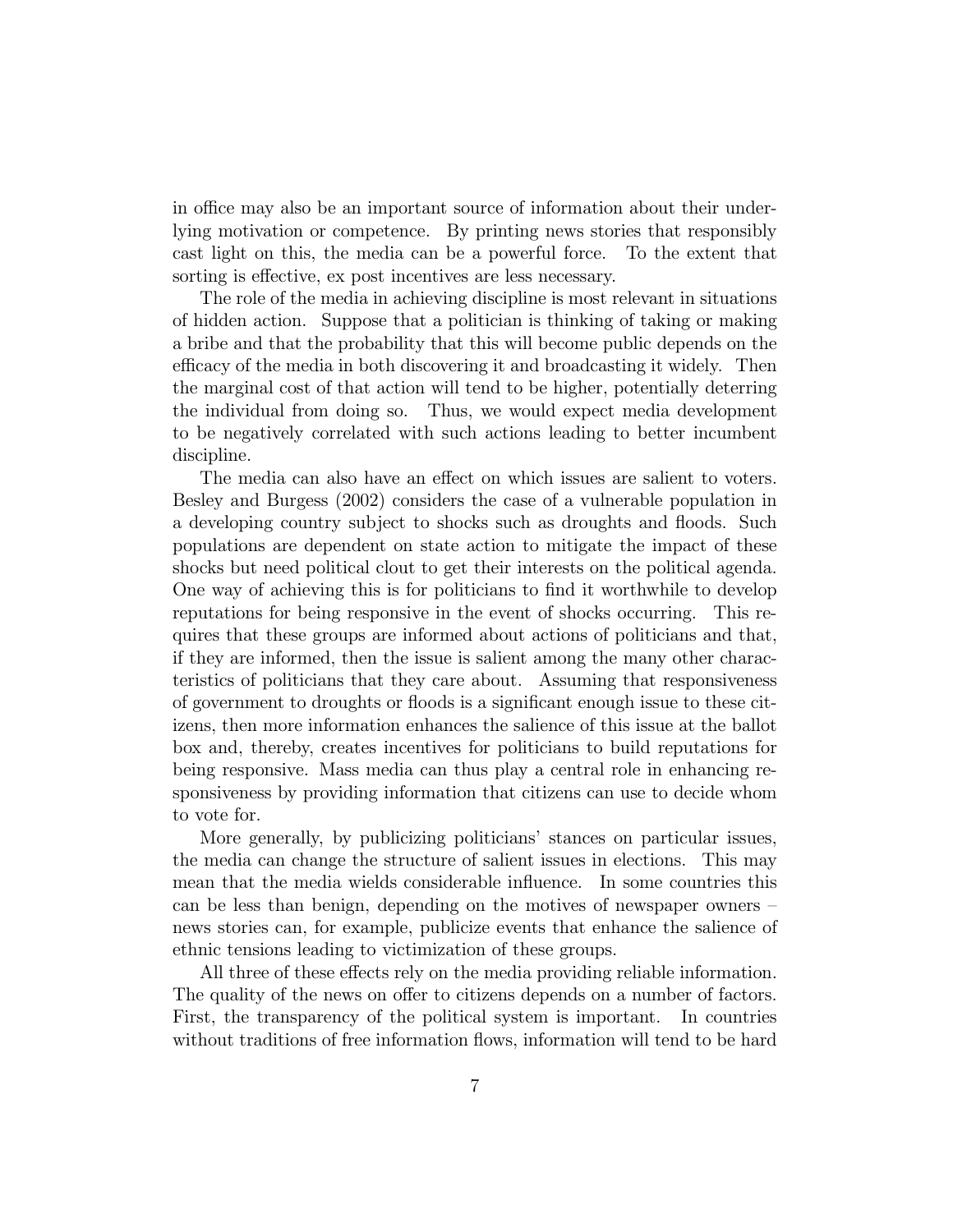in office may also be an important source of information about their underlying motivation or competence. By printing news stories that responsibly cast light on this, the media can be a powerful force. To the extent that sorting is effective, ex post incentives are less necessary.

The role of the media in achieving discipline is most relevant in situations of hidden action. Suppose that a politician is thinking of taking or making a bribe and that the probability that this will become public depends on the efficacy of the media in both discovering it and broadcasting it widely. Then the marginal cost of that action will tend to be higher, potentially deterring the individual from doing so. Thus, we would expect media development to be negatively correlated with such actions leading to better incumbent discipline.

The media can also have an effect on which issues are salient to voters. Besley and Burgess (2002) considers the case of a vulnerable population in a developing country subject to shocks such as droughts and floods. Such populations are dependent on state action to mitigate the impact of these shocks but need political clout to get their interests on the political agenda. One way of achieving this is for politicians to find it worthwhile to develop reputations for being responsive in the event of shocks occurring. This requires that these groups are informed about actions of politicians and that, if they are informed, then the issue is salient among the many other characteristics of politicians that they care about. Assuming that responsiveness of government to droughts or floods is a significant enough issue to these citizens, then more information enhances the salience of this issue at the ballot box and, thereby, creates incentives for politicians to build reputations for being responsive. Mass media can thus play a central role in enhancing responsiveness by providing information that citizens can use to decide whom to vote for.

More generally, by publicizing politicians' stances on particular issues, the media can change the structure of salient issues in elections. This may mean that the media wields considerable influence. In some countries this can be less than benign, depending on the motives of newspaper owners news stories can, for example, publicize events that enhance the salience of ethnic tensions leading to victimization of these groups.

All three of these effects rely on the media providing reliable information. The quality of the news on offer to citizens depends on a number of factors. First, the transparency of the political system is important. In countries without traditions of free information flows, information will tend to be hard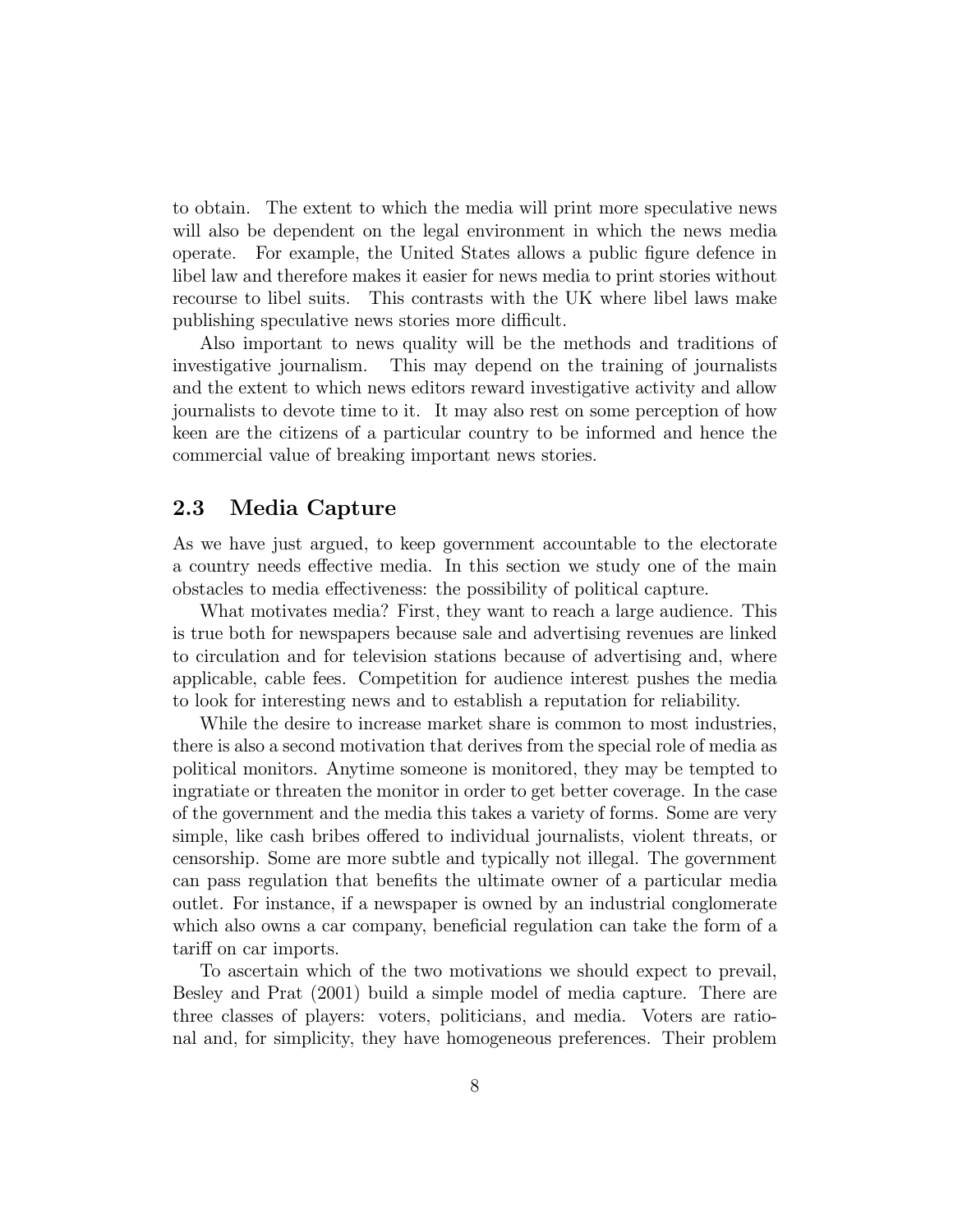to obtain. The extent to which the media will print more speculative news will also be dependent on the legal environment in which the news media operate. For example, the United States allows a public figure defence in libel law and therefore makes it easier for news media to print stories without recourse to libel suits. This contrasts with the UK where libel laws make publishing speculative news stories more difficult.

Also important to news quality will be the methods and traditions of investigative journalism. This may depend on the training of journalists and the extent to which news editors reward investigative activity and allow journalists to devote time to it. It may also rest on some perception of how keen are the citizens of a particular country to be informed and hence the commercial value of breaking important news stories.

### 2.3 Media Capture

As we have just argued, to keep government accountable to the electorate a country needs effective media. In this section we study one of the main obstacles to media effectiveness: the possibility of political capture.

What motivates media? First, they want to reach a large audience. This is true both for newspapers because sale and advertising revenues are linked to circulation and for television stations because of advertising and, where applicable, cable fees. Competition for audience interest pushes the media to look for interesting news and to establish a reputation for reliability.

While the desire to increase market share is common to most industries, there is also a second motivation that derives from the special role of media as political monitors. Anytime someone is monitored, they may be tempted to ingratiate or threaten the monitor in order to get better coverage. In the case of the government and the media this takes a variety of forms. Some are very simple, like cash bribes offered to individual journalists, violent threats, or censorship. Some are more subtle and typically not illegal. The government can pass regulation that benefits the ultimate owner of a particular media outlet. For instance, if a newspaper is owned by an industrial conglomerate which also owns a car company, beneficial regulation can take the form of a tariff on car imports.

To ascertain which of the two motivations we should expect to prevail, Besley and Prat (2001) build a simple model of media capture. There are three classes of players: voters, politicians, and media. Voters are rational and, for simplicity, they have homogeneous preferences. Their problem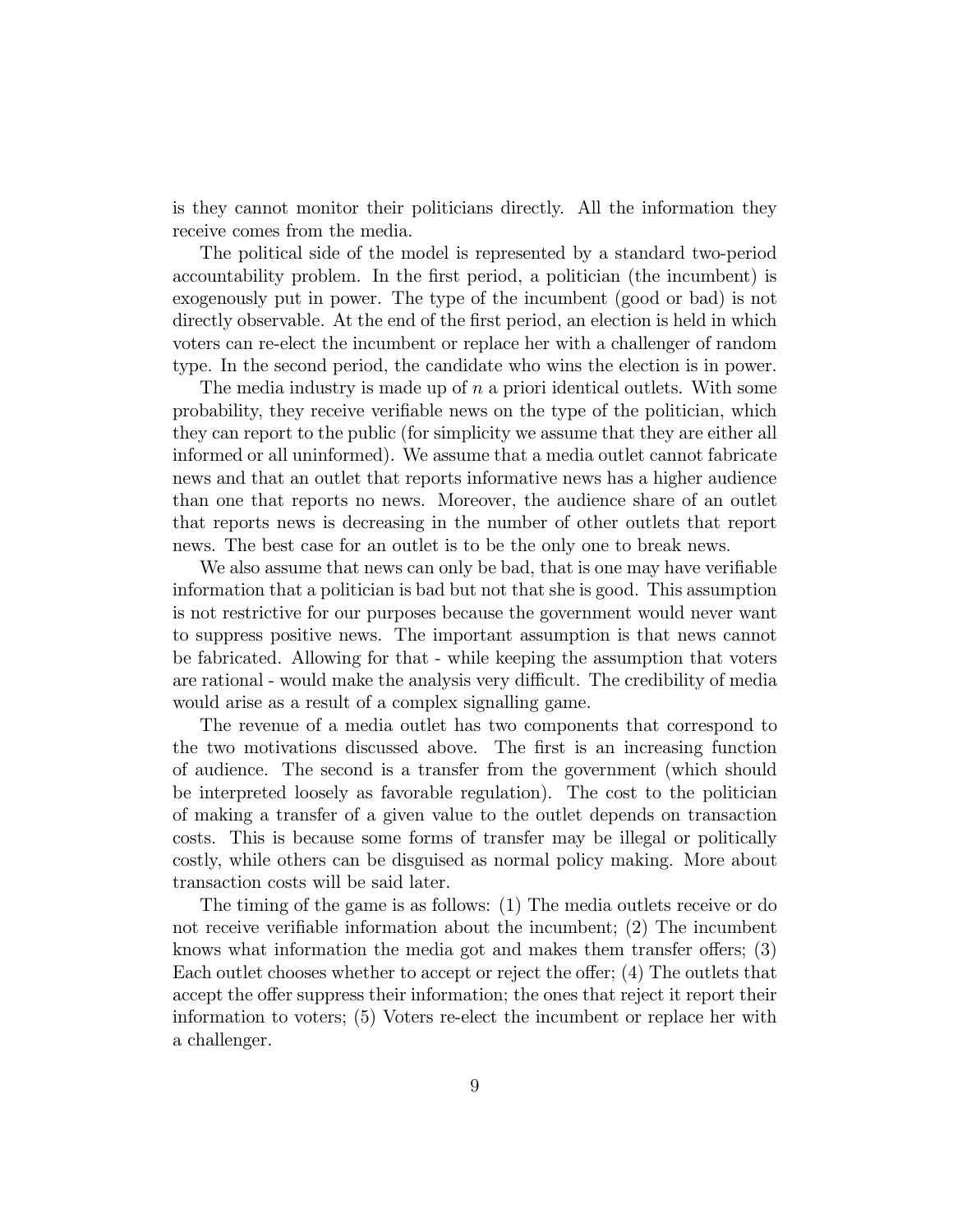is they cannot monitor their politicians directly. All the information they receive comes from the media.

The political side of the model is represented by a standard two-period accountability problem. In the first period, a politician (the incumbent) is exogenously put in power. The type of the incumbent (good or bad) is not directly observable. At the end of the first period, an election is held in which voters can re-elect the incumbent or replace her with a challenger of random type. In the second period, the candidate who wins the election is in power.

The media industry is made up of  $n$  a priori identical outlets. With some probability, they receive verifiable news on the type of the politician, which they can report to the public (for simplicity we assume that they are either all informed or all uninformed). We assume that a media outlet cannot fabricate news and that an outlet that reports informative news has a higher audience than one that reports no news. Moreover, the audience share of an outlet that reports news is decreasing in the number of other outlets that report news. The best case for an outlet is to be the only one to break news.

We also assume that news can only be bad, that is one may have verifiable information that a politician is bad but not that she is good. This assumption is not restrictive for our purposes because the government would never want to suppress positive news. The important assumption is that news cannot be fabricated. Allowing for that - while keeping the assumption that voters are rational - would make the analysis very difficult. The credibility of media would arise as a result of a complex signalling game.

The revenue of a media outlet has two components that correspond to the two motivations discussed above. The first is an increasing function of audience. The second is a transfer from the government (which should be interpreted loosely as favorable regulation). The cost to the politician of making a transfer of a given value to the outlet depends on transaction costs. This is because some forms of transfer may be illegal or politically costly, while others can be disguised as normal policy making. More about transaction costs will be said later.

The timing of the game is as follows: (1) The media outlets receive or do not receive verifiable information about the incumbent; (2) The incumbent knows what information the media got and makes them transfer offers; (3) Each outlet chooses whether to accept or reject the offer; (4) The outlets that accept the offer suppress their information; the ones that reject it report their information to voters; (5) Voters re-elect the incumbent or replace her with a challenger.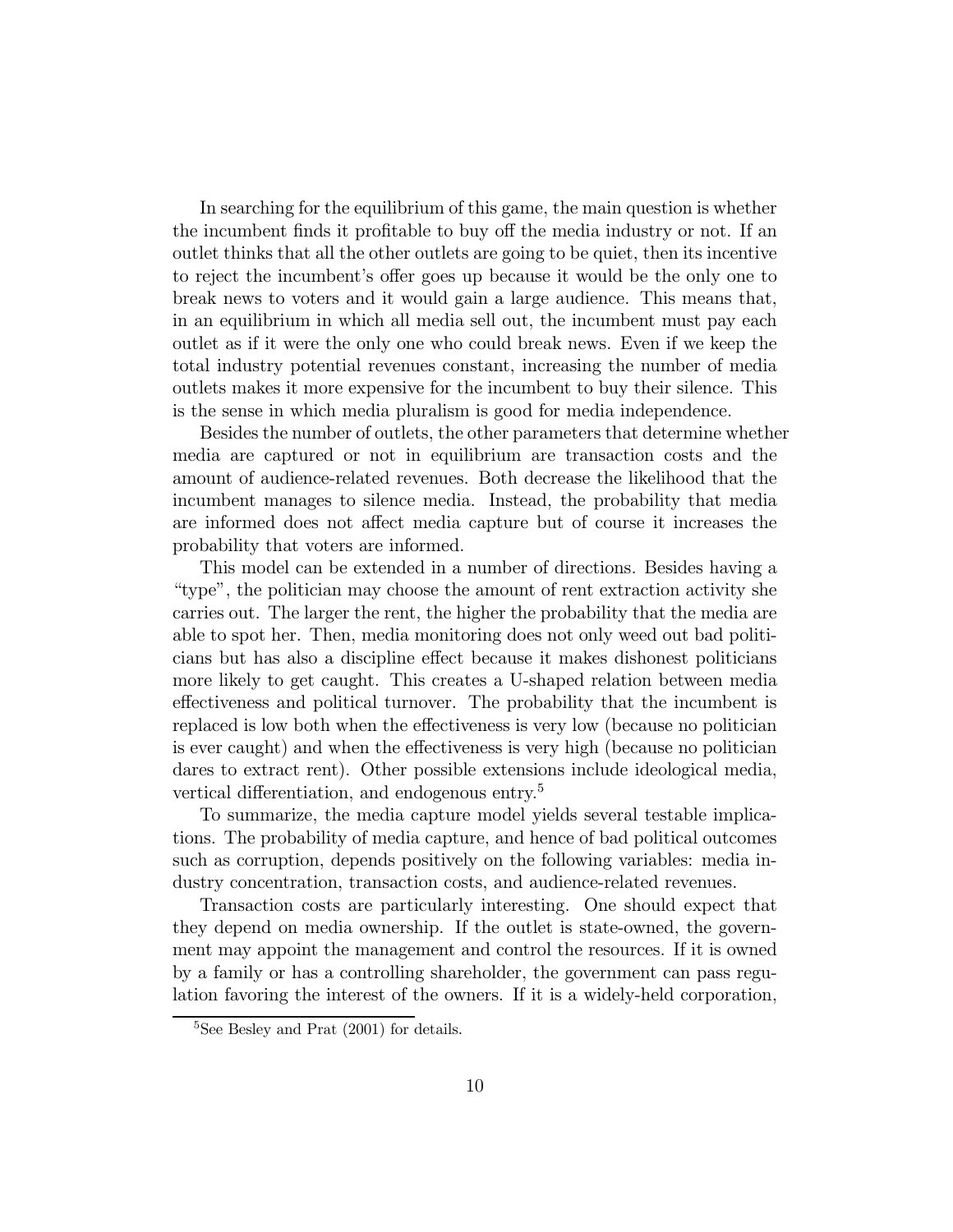In searching for the equilibrium of this game, the main question is whether the incumbent finds it profitable to buy off the media industry or not. If an outlet thinks that all the other outlets are going to be quiet, then its incentive to reject the incumbent's offer goes up because it would be the only one to break news to voters and it would gain a large audience. This means that, in an equilibrium in which all media sell out, the incumbent must pay each outlet as if it were the only one who could break news. Even if we keep the total industry potential revenues constant, increasing the number of media outlets makes it more expensive for the incumbent to buy their silence. This is the sense in which media pluralism is good for media independence.

Besides the number of outlets, the other parameters that determine whether media are captured or not in equilibrium are transaction costs and the amount of audience-related revenues. Both decrease the likelihood that the incumbent manages to silence media. Instead, the probability that media are informed does not affect media capture but of course it increases the probability that voters are informed.

This model can be extended in a number of directions. Besides having a "type", the politician may choose the amount of rent extraction activity she carries out. The larger the rent, the higher the probability that the media are able to spot her. Then, media monitoring does not only weed out bad politicians but has also a discipline effect because it makes dishonest politicians more likely to get caught. This creates a U-shaped relation between media effectiveness and political turnover. The probability that the incumbent is replaced is low both when the effectiveness is very low (because no politician is ever caught) and when the effectiveness is very high (because no politician dares to extract rent). Other possible extensions include ideological media, vertical differentiation, and endogenous entry.<sup>5</sup>

To summarize, the media capture model yields several testable implications. The probability of media capture, and hence of bad political outcomes such as corruption, depends positively on the following variables: media industry concentration, transaction costs, and audience-related revenues.

Transaction costs are particularly interesting. One should expect that they depend on media ownership. If the outlet is state-owned, the government may appoint the management and control the resources. If it is owned by a family or has a controlling shareholder, the government can pass regulation favoring the interest of the owners. If it is a widely-held corporation,

<sup>5</sup>See Besley and Prat (2001) for details.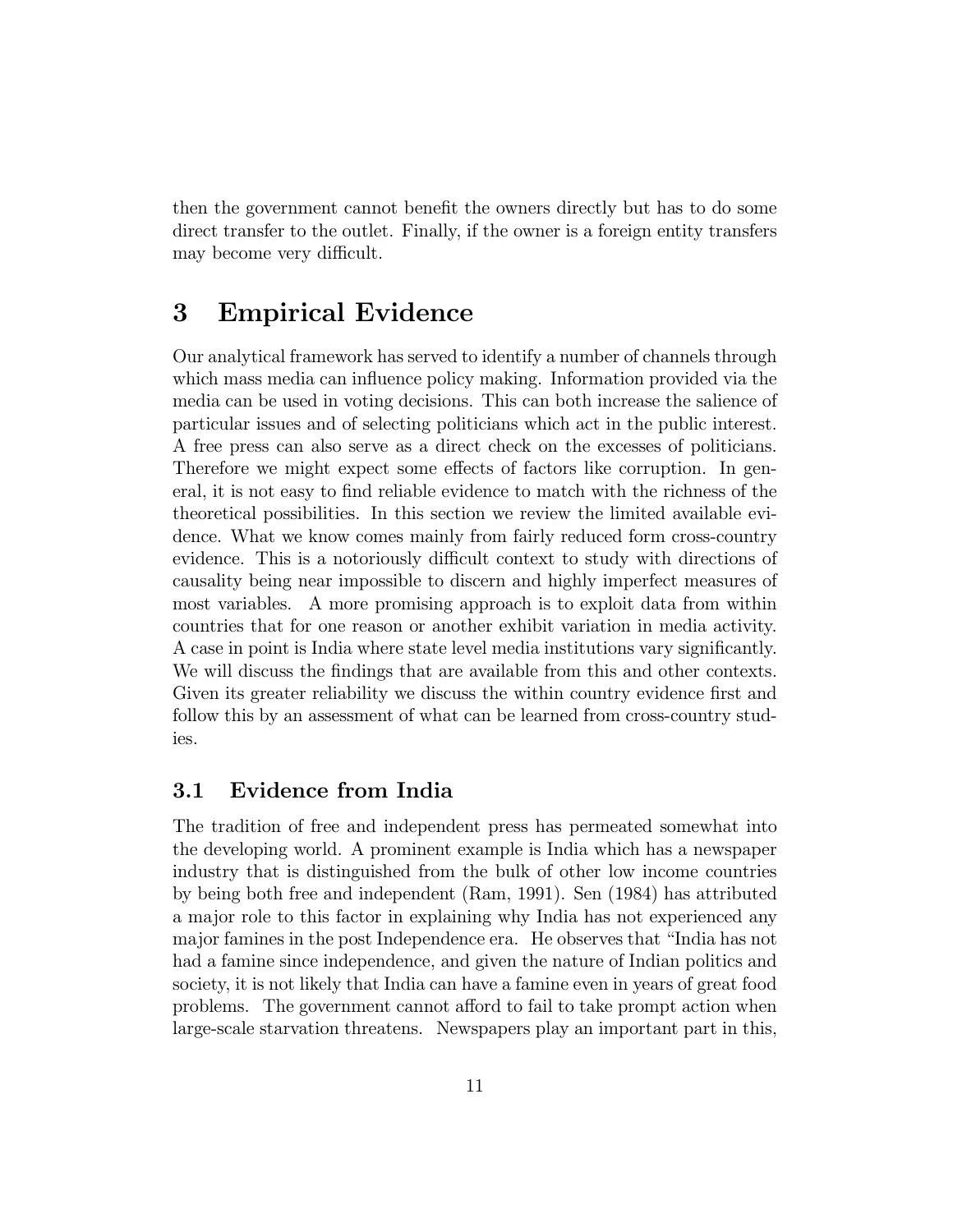then the government cannot benefit the owners directly but has to do some direct transfer to the outlet. Finally, if the owner is a foreign entity transfers may become very difficult.

### 3 Empirical Evidence

Our analytical framework has served to identify a number of channels through which mass media can influence policy making. Information provided via the media can be used in voting decisions. This can both increase the salience of particular issues and of selecting politicians which act in the public interest. A free press can also serve as a direct check on the excesses of politicians. Therefore we might expect some effects of factors like corruption. In general, it is not easy to find reliable evidence to match with the richness of the theoretical possibilities. In this section we review the limited available evidence. What we know comes mainly from fairly reduced form cross-country evidence. This is a notoriously difficult context to study with directions of causality being near impossible to discern and highly imperfect measures of most variables. A more promising approach is to exploit data from within countries that for one reason or another exhibit variation in media activity. A case in point is India where state level media institutions vary significantly. We will discuss the findings that are available from this and other contexts. Given its greater reliability we discuss the within country evidence first and follow this by an assessment of what can be learned from cross-country studies.

### 3.1 Evidence from India

The tradition of free and independent press has permeated somewhat into the developing world. A prominent example is India which has a newspaper industry that is distinguished from the bulk of other low income countries by being both free and independent (Ram, 1991). Sen (1984) has attributed a major role to this factor in explaining why India has not experienced any major famines in the post Independence era. He observes that "India has not had a famine since independence, and given the nature of Indian politics and society, it is not likely that India can have a famine even in years of great food problems. The government cannot afford to fail to take prompt action when large-scale starvation threatens. Newspapers play an important part in this,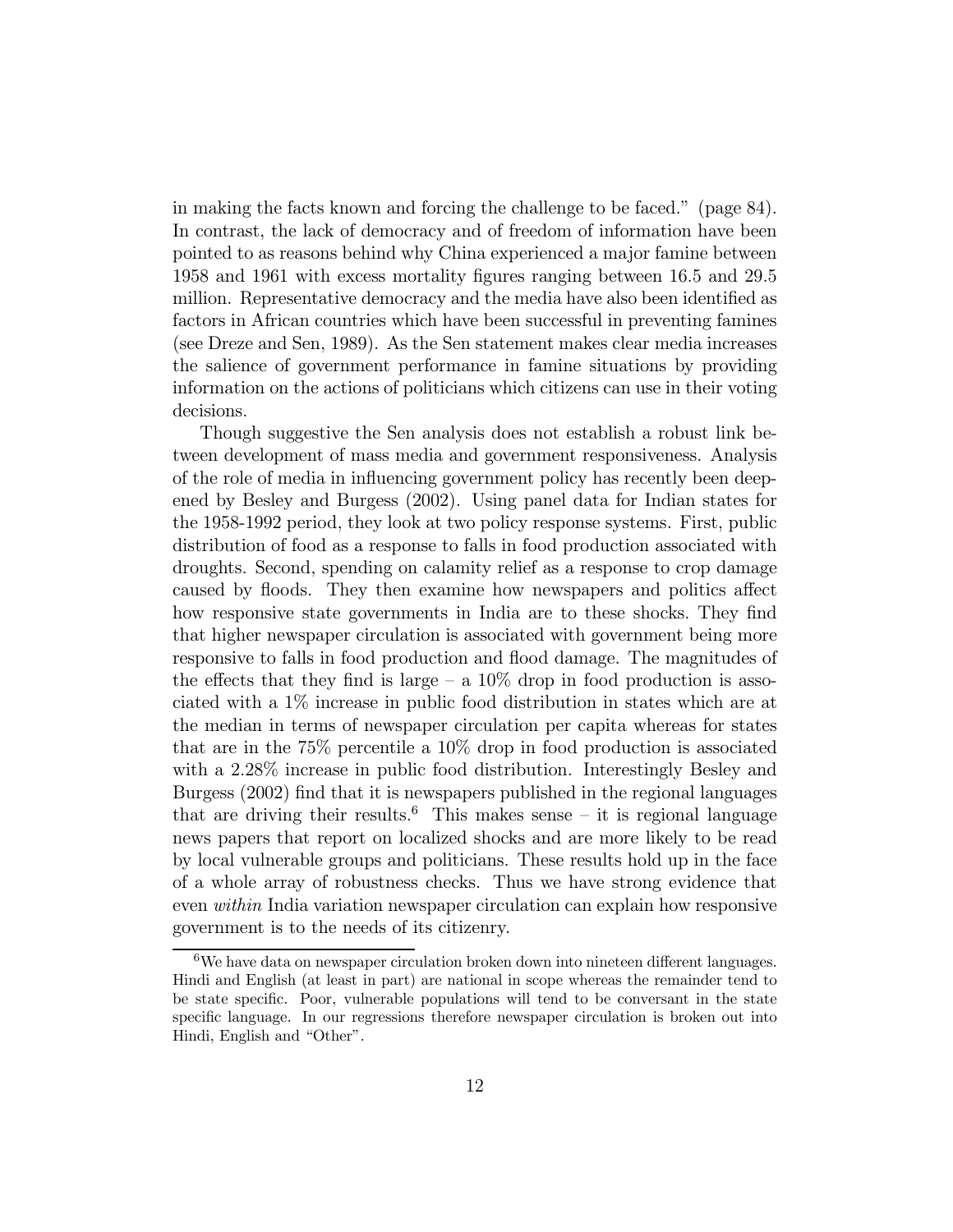in making the facts known and forcing the challenge to be faced." (page 84). In contrast, the lack of democracy and of freedom of information have been pointed to as reasons behind why China experienced a major famine between 1958 and 1961 with excess mortality figures ranging between 16.5 and 29.5 million. Representative democracy and the media have also been identified as factors in African countries which have been successful in preventing famines (see Dreze and Sen, 1989). As the Sen statement makes clear media increases the salience of government performance in famine situations by providing information on the actions of politicians which citizens can use in their voting decisions.

Though suggestive the Sen analysis does not establish a robust link between development of mass media and government responsiveness. Analysis of the role of media in influencing government policy has recently been deepened by Besley and Burgess (2002). Using panel data for Indian states for the 1958-1992 period, they look at two policy response systems. First, public distribution of food as a response to falls in food production associated with droughts. Second, spending on calamity relief as a response to crop damage caused by floods. They then examine how newspapers and politics affect how responsive state governments in India are to these shocks. They find that higher newspaper circulation is associated with government being more responsive to falls in food production and flood damage. The magnitudes of the effects that they find is large  $-$  a 10% drop in food production is associated with a 1% increase in public food distribution in states which are at the median in terms of newspaper circulation per capita whereas for states that are in the 75% percentile a 10% drop in food production is associated with a 2.28% increase in public food distribution. Interestingly Besley and Burgess (2002) find that it is newspapers published in the regional languages that are driving their results.<sup>6</sup> This makes sense – it is regional language news papers that report on localized shocks and are more likely to be read by local vulnerable groups and politicians. These results hold up in the face of a whole array of robustness checks. Thus we have strong evidence that even within India variation newspaper circulation can explain how responsive government is to the needs of its citizenry.

 $6$ We have data on newspaper circulation broken down into nineteen different languages. Hindi and English (at least in part) are national in scope whereas the remainder tend to be state specific. Poor, vulnerable populations will tend to be conversant in the state specific language. In our regressions therefore newspaper circulation is broken out into Hindi, English and "Other".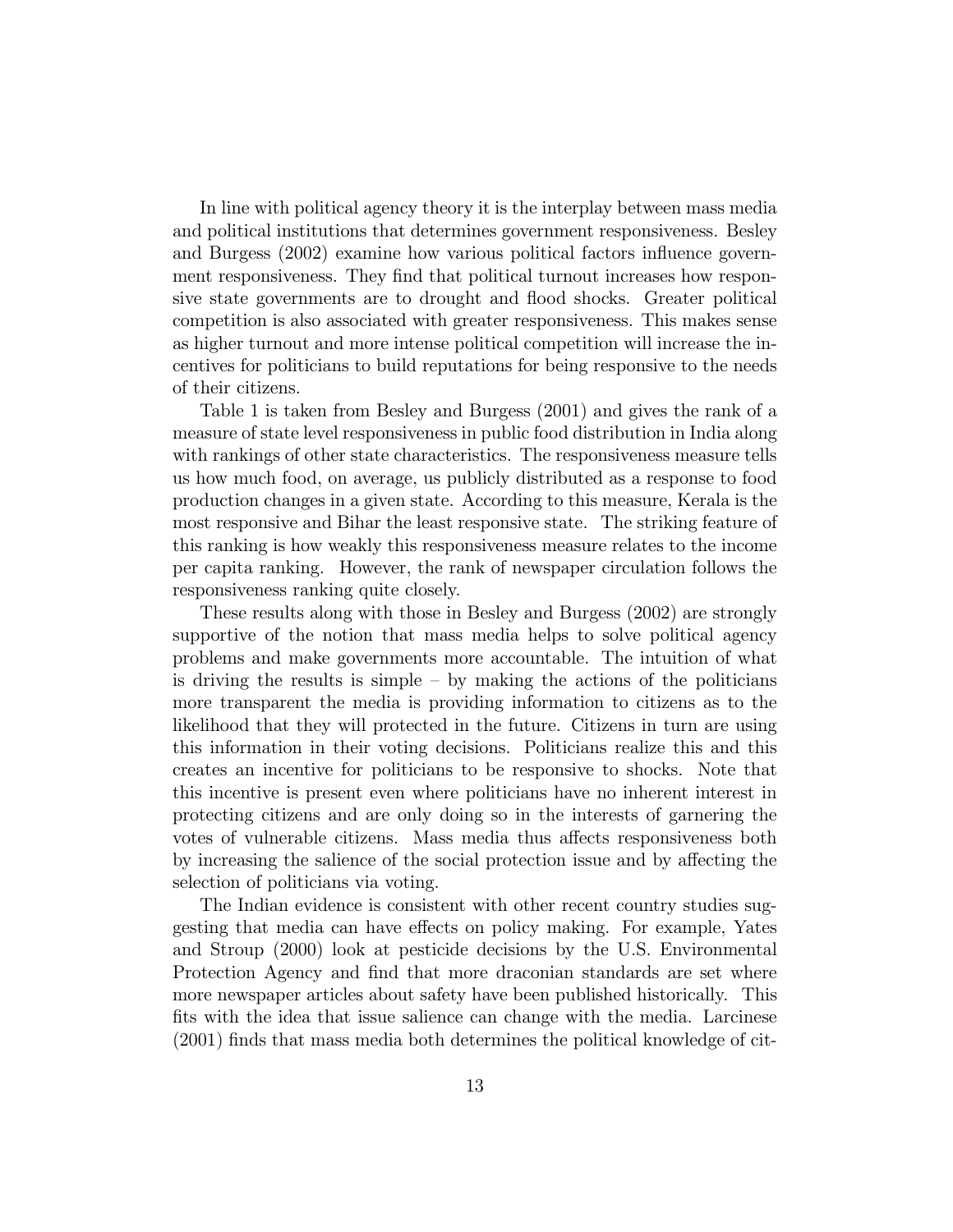In line with political agency theory it is the interplay between mass media and political institutions that determines government responsiveness. Besley and Burgess (2002) examine how various political factors influence government responsiveness. They find that political turnout increases how responsive state governments are to drought and flood shocks. Greater political competition is also associated with greater responsiveness. This makes sense as higher turnout and more intense political competition will increase the incentives for politicians to build reputations for being responsive to the needs of their citizens.

Table 1 is taken from Besley and Burgess (2001) and gives the rank of a measure of state level responsiveness in public food distribution in India along with rankings of other state characteristics. The responsiveness measure tells us how much food, on average, us publicly distributed as a response to food production changes in a given state. According to this measure, Kerala is the most responsive and Bihar the least responsive state. The striking feature of this ranking is how weakly this responsiveness measure relates to the income per capita ranking. However, the rank of newspaper circulation follows the responsiveness ranking quite closely.

These results along with those in Besley and Burgess (2002) are strongly supportive of the notion that mass media helps to solve political agency problems and make governments more accountable. The intuition of what is driving the results is simple  $-$  by making the actions of the politicians more transparent the media is providing information to citizens as to the likelihood that they will protected in the future. Citizens in turn are using this information in their voting decisions. Politicians realize this and this creates an incentive for politicians to be responsive to shocks. Note that this incentive is present even where politicians have no inherent interest in protecting citizens and are only doing so in the interests of garnering the votes of vulnerable citizens. Mass media thus affects responsiveness both by increasing the salience of the social protection issue and by affecting the selection of politicians via voting.

The Indian evidence is consistent with other recent country studies suggesting that media can have effects on policy making. For example, Yates and Stroup (2000) look at pesticide decisions by the U.S. Environmental Protection Agency and find that more draconian standards are set where more newspaper articles about safety have been published historically. This fits with the idea that issue salience can change with the media. Larcinese (2001) finds that mass media both determines the political knowledge of cit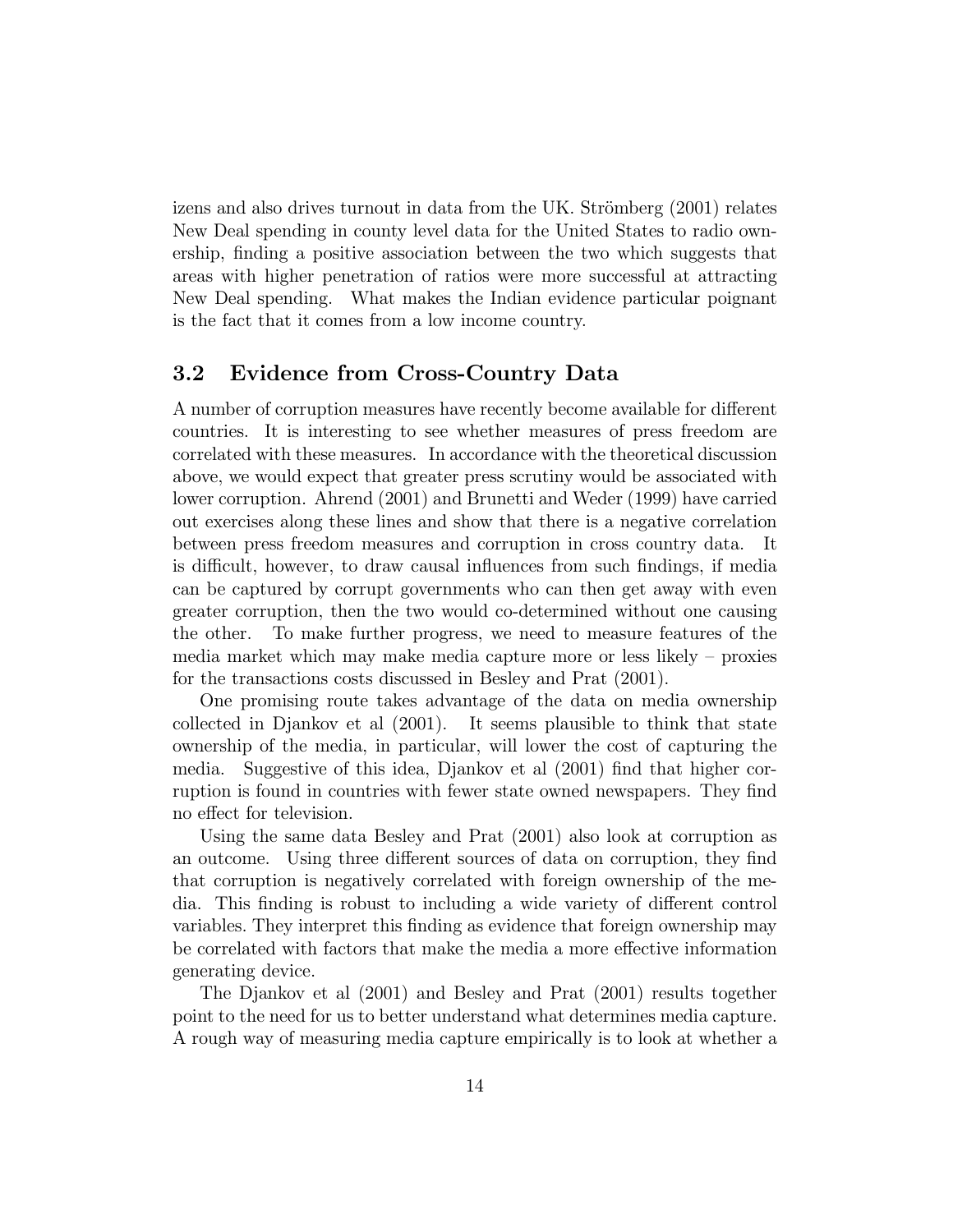izens and also drives turnout in data from the UK. Strömberg (2001) relates New Deal spending in county level data for the United States to radio ownership, finding a positive association between the two which suggests that areas with higher penetration of ratios were more successful at attracting New Deal spending. What makes the Indian evidence particular poignant is the fact that it comes from a low income country.

#### 3.2 Evidence from Cross-Country Data

A number of corruption measures have recently become available for different countries. It is interesting to see whether measures of press freedom are correlated with these measures. In accordance with the theoretical discussion above, we would expect that greater press scrutiny would be associated with lower corruption. Ahrend (2001) and Brunetti and Weder (1999) have carried out exercises along these lines and show that there is a negative correlation between press freedom measures and corruption in cross country data. It is difficult, however, to draw causal influences from such findings, if media can be captured by corrupt governments who can then get away with even greater corruption, then the two would co-determined without one causing the other. To make further progress, we need to measure features of the media market which may make media capture more or less likely — proxies for the transactions costs discussed in Besley and Prat (2001).

One promising route takes advantage of the data on media ownership collected in Djankov et al (2001). It seems plausible to think that state ownership of the media, in particular, will lower the cost of capturing the media. Suggestive of this idea, Djankov et al (2001) find that higher corruption is found in countries with fewer state owned newspapers. They find no effect for television.

Using the same data Besley and Prat (2001) also look at corruption as an outcome. Using three different sources of data on corruption, they find that corruption is negatively correlated with foreign ownership of the media. This finding is robust to including a wide variety of different control variables. They interpret this finding as evidence that foreign ownership may be correlated with factors that make the media a more effective information generating device.

The Djankov et al (2001) and Besley and Prat (2001) results together point to the need for us to better understand what determines media capture. A rough way of measuring media capture empirically is to look at whether a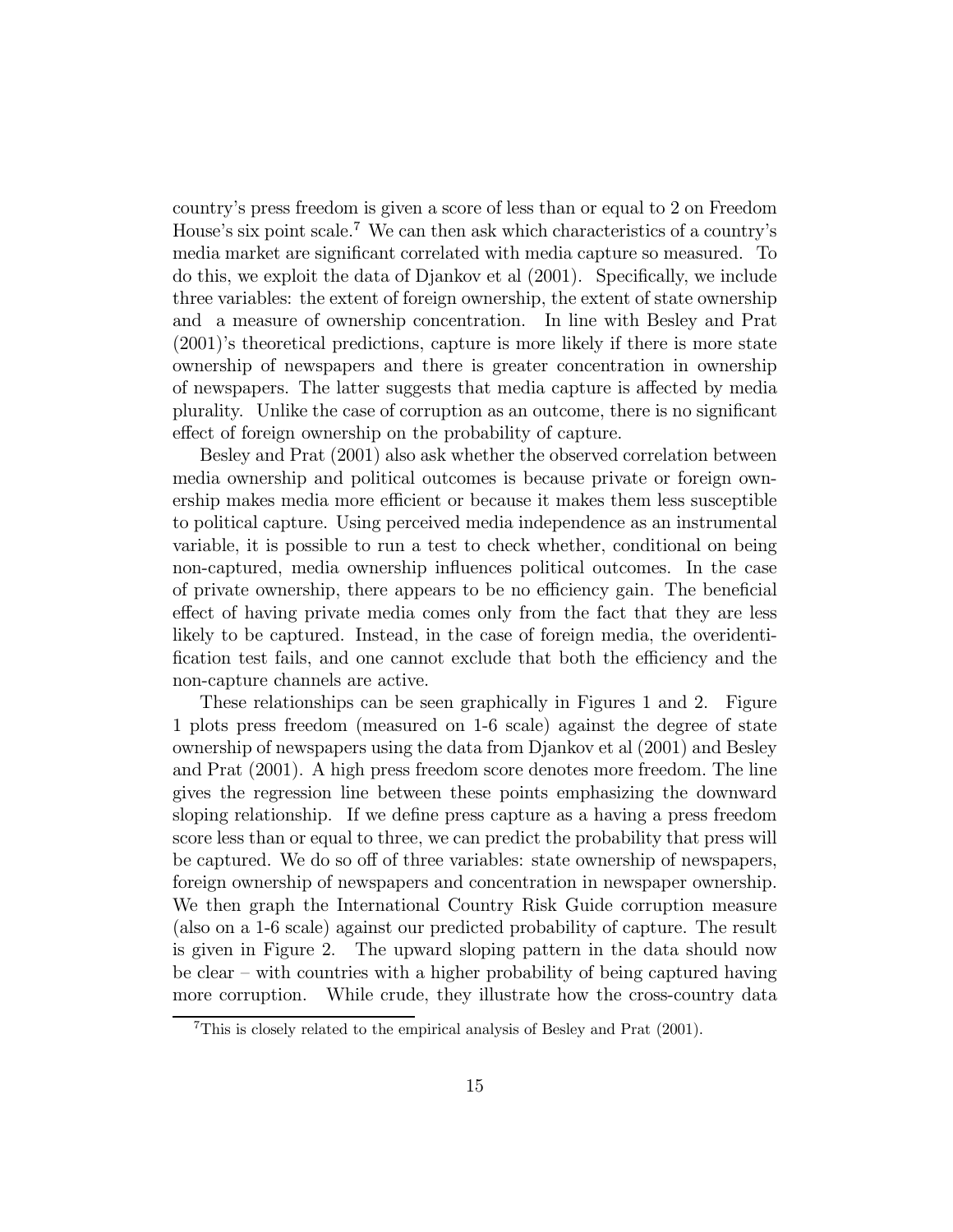country's press freedom is given a score of less than or equal to 2 on Freedom House's six point scale.<sup>7</sup> We can then ask which characteristics of a country's media market are significant correlated with media capture so measured. To do this, we exploit the data of Djankov et al (2001). Specifically, we include three variables: the extent of foreign ownership, the extent of state ownership and a measure of ownership concentration. In line with Besley and Prat (2001)'s theoretical predictions, capture is more likely if there is more state ownership of newspapers and there is greater concentration in ownership of newspapers. The latter suggests that media capture is affected by media plurality. Unlike the case of corruption as an outcome, there is no significant effect of foreign ownership on the probability of capture.

Besley and Prat (2001) also ask whether the observed correlation between media ownership and political outcomes is because private or foreign ownership makes media more efficient or because it makes them less susceptible to political capture. Using perceived media independence as an instrumental variable, it is possible to run a test to check whether, conditional on being non-captured, media ownership influences political outcomes. In the case of private ownership, there appears to be no efficiency gain. The beneficial effect of having private media comes only from the fact that they are less likely to be captured. Instead, in the case of foreign media, the overidentification test fails, and one cannot exclude that both the efficiency and the non-capture channels are active.

These relationships can be seen graphically in Figures 1 and 2. Figure 1 plots press freedom (measured on 1-6 scale) against the degree of state ownership of newspapers using the data from Djankov et al (2001) and Besley and Prat (2001). A high press freedom score denotes more freedom. The line gives the regression line between these points emphasizing the downward sloping relationship. If we define press capture as a having a press freedom score less than or equal to three, we can predict the probability that press will be captured. We do so off of three variables: state ownership of newspapers, foreign ownership of newspapers and concentration in newspaper ownership. We then graph the International Country Risk Guide corruption measure (also on a 1-6 scale) against our predicted probability of capture. The result is given in Figure 2. The upward sloping pattern in the data should now be clear — with countries with a higher probability of being captured having more corruption. While crude, they illustrate how the cross-country data

<sup>7</sup>This is closely related to the empirical analysis of Besley and Prat (2001).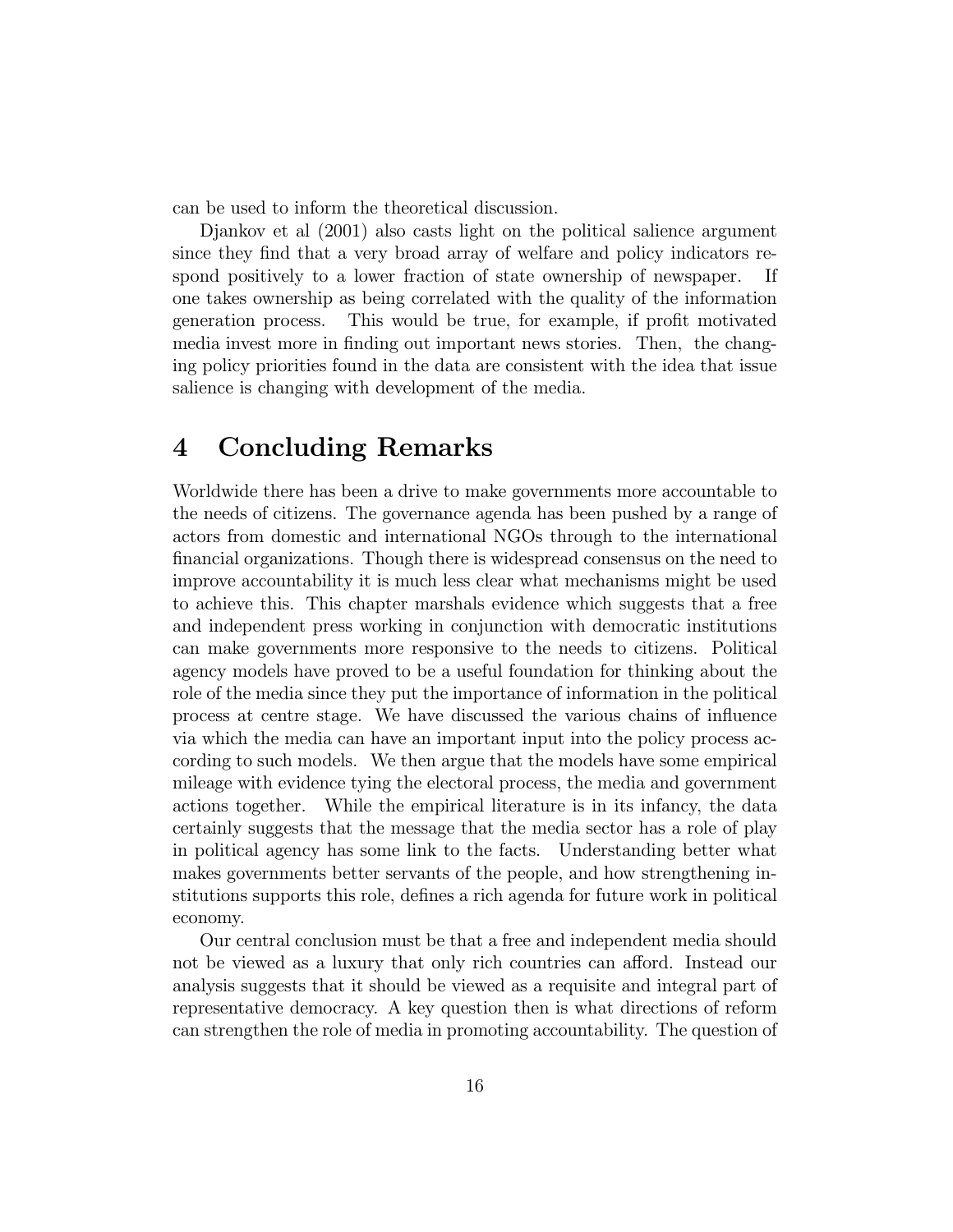can be used to inform the theoretical discussion.

Djankov et al (2001) also casts light on the political salience argument since they find that a very broad array of welfare and policy indicators respond positively to a lower fraction of state ownership of newspaper. If one takes ownership as being correlated with the quality of the information generation process. This would be true, for example, if profit motivated media invest more in finding out important news stories. Then, the changing policy priorities found in the data are consistent with the idea that issue salience is changing with development of the media.

# 4 Concluding Remarks

Worldwide there has been a drive to make governments more accountable to the needs of citizens. The governance agenda has been pushed by a range of actors from domestic and international NGOs through to the international financial organizations. Though there is widespread consensus on the need to improve accountability it is much less clear what mechanisms might be used to achieve this. This chapter marshals evidence which suggests that a free and independent press working in conjunction with democratic institutions can make governments more responsive to the needs to citizens. Political agency models have proved to be a useful foundation for thinking about the role of the media since they put the importance of information in the political process at centre stage. We have discussed the various chains of influence via which the media can have an important input into the policy process according to such models. We then argue that the models have some empirical mileage with evidence tying the electoral process, the media and government actions together. While the empirical literature is in its infancy, the data certainly suggests that the message that the media sector has a role of play in political agency has some link to the facts. Understanding better what makes governments better servants of the people, and how strengthening institutions supports this role, defines a rich agenda for future work in political economy.

Our central conclusion must be that a free and independent media should not be viewed as a luxury that only rich countries can afford. Instead our analysis suggests that it should be viewed as a requisite and integral part of representative democracy. A key question then is what directions of reform can strengthen the role of media in promoting accountability. The question of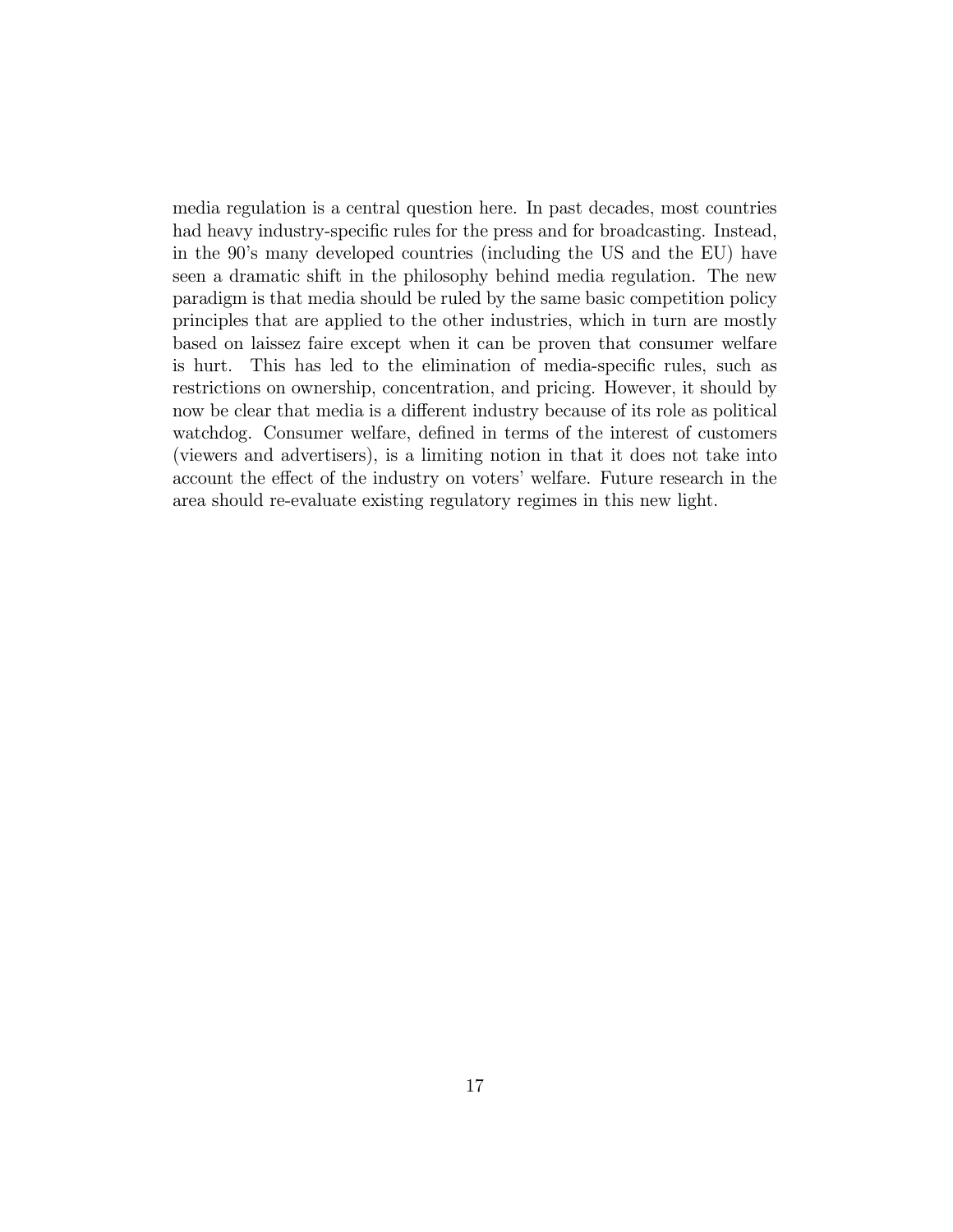media regulation is a central question here. In past decades, most countries had heavy industry-specific rules for the press and for broadcasting. Instead, in the 90's many developed countries (including the US and the EU) have seen a dramatic shift in the philosophy behind media regulation. The new paradigm is that media should be ruled by the same basic competition policy principles that are applied to the other industries, which in turn are mostly based on laissez faire except when it can be proven that consumer welfare is hurt. This has led to the elimination of media-specific rules, such as restrictions on ownership, concentration, and pricing. However, it should by now be clear that media is a different industry because of its role as political watchdog. Consumer welfare, defined in terms of the interest of customers (viewers and advertisers), is a limiting notion in that it does not take into account the effect of the industry on voters' welfare. Future research in the area should re-evaluate existing regulatory regimes in this new light.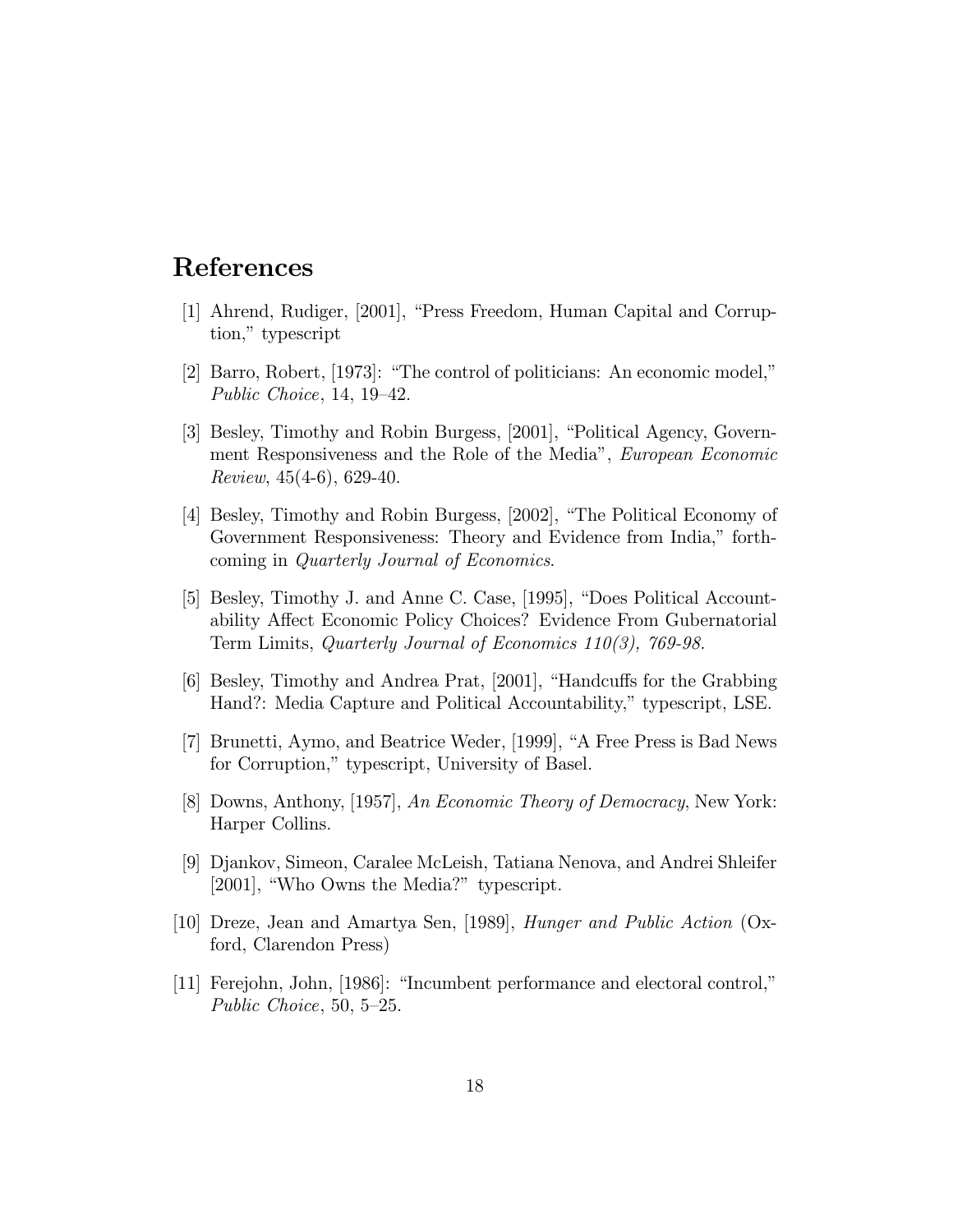### References

- [1] Ahrend, Rudiger, [2001], "Press Freedom, Human Capital and Corruption," typescript
- [2] Barro, Robert, [1973]: "The control of politicians: An economic model," Public Choice, 14, 19—42.
- [3] Besley, Timothy and Robin Burgess, [2001], "Political Agency, Government Responsiveness and the Role of the Media", European Economic Review, 45(4-6), 629-40.
- [4] Besley, Timothy and Robin Burgess, [2002], "The Political Economy of Government Responsiveness: Theory and Evidence from India," forthcoming in Quarterly Journal of Economics.
- [5] Besley, Timothy J. and Anne C. Case, [1995], "Does Political Accountability Affect Economic Policy Choices? Evidence From Gubernatorial Term Limits, Quarterly Journal of Economics 110(3), 769-98.
- [6] Besley, Timothy and Andrea Prat, [2001], "Handcuffs for the Grabbing Hand?: Media Capture and Political Accountability," typescript, LSE.
- [7] Brunetti, Aymo, and Beatrice Weder, [1999], "A Free Press is Bad News for Corruption," typescript, University of Basel.
- [8] Downs, Anthony, [1957], An Economic Theory of Democracy, New York: Harper Collins.
- [9] Djankov, Simeon, Caralee McLeish, Tatiana Nenova, and Andrei Shleifer [2001], "Who Owns the Media?" typescript.
- [10] Dreze, Jean and Amartya Sen, [1989], Hunger and Public Action (Oxford, Clarendon Press)
- [11] Ferejohn, John, [1986]: "Incumbent performance and electoral control," Public Choice, 50, 5—25.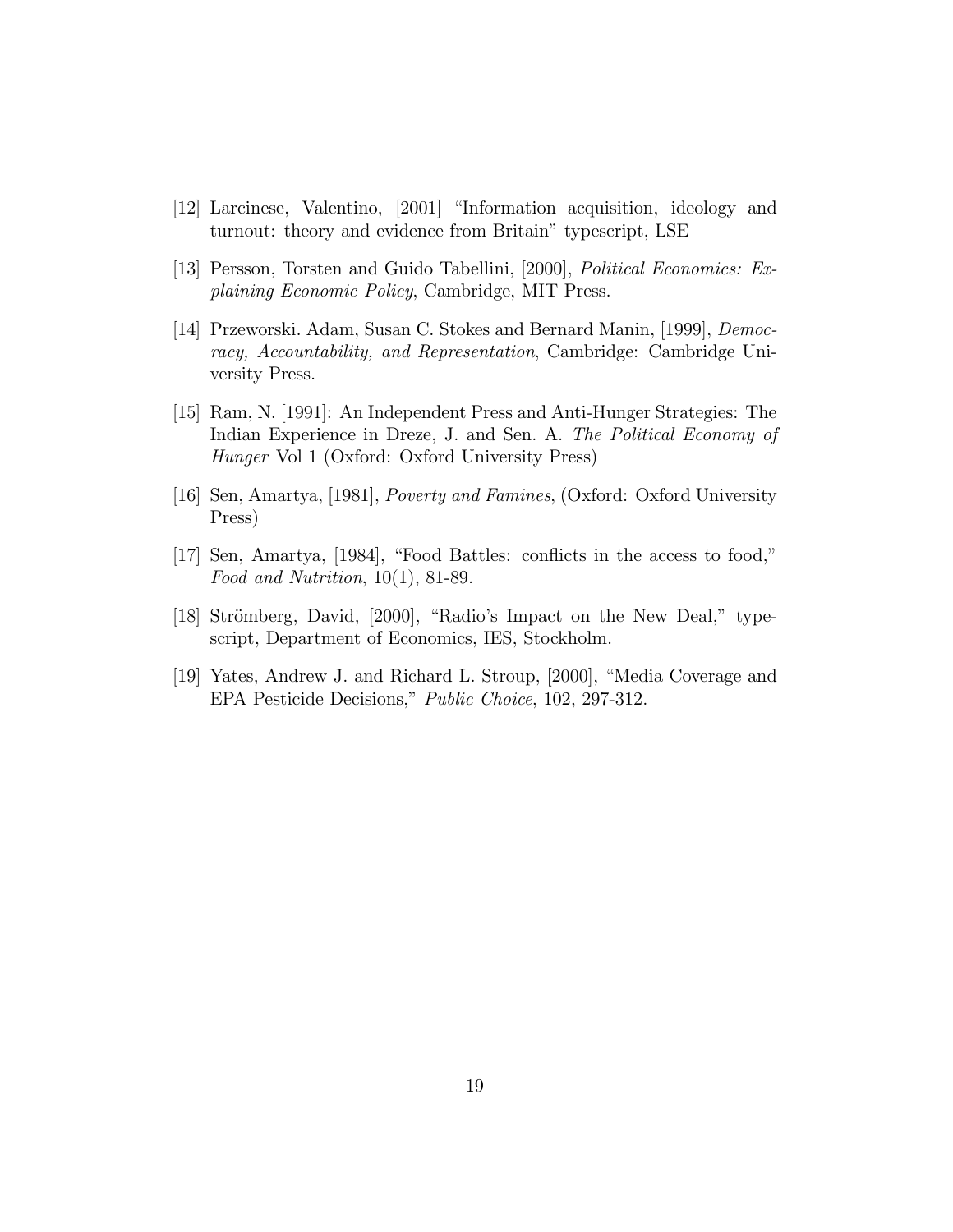- [12] Larcinese, Valentino, [2001] "Information acquisition, ideology and turnout: theory and evidence from Britain" typescript, LSE
- [13] Persson, Torsten and Guido Tabellini, [2000], Political Economics: Explaining Economic Policy, Cambridge, MIT Press.
- [14] Przeworski. Adam, Susan C. Stokes and Bernard Manin, [1999], Democracy, Accountability, and Representation, Cambridge: Cambridge University Press.
- [15] Ram, N. [1991]: An Independent Press and Anti-Hunger Strategies: The Indian Experience in Dreze, J. and Sen. A. The Political Economy of Hunger Vol 1 (Oxford: Oxford University Press)
- [16] Sen, Amartya, [1981], Poverty and Famines, (Oxford: Oxford University Press)
- [17] Sen, Amartya, [1984], "Food Battles: conflicts in the access to food," Food and Nutrition, 10(1), 81-89.
- [18] Strömberg, David, [2000], "Radio's Impact on the New Deal," typescript, Department of Economics, IES, Stockholm.
- [19] Yates, Andrew J. and Richard L. Stroup, [2000], "Media Coverage and EPA Pesticide Decisions," Public Choice, 102, 297-312.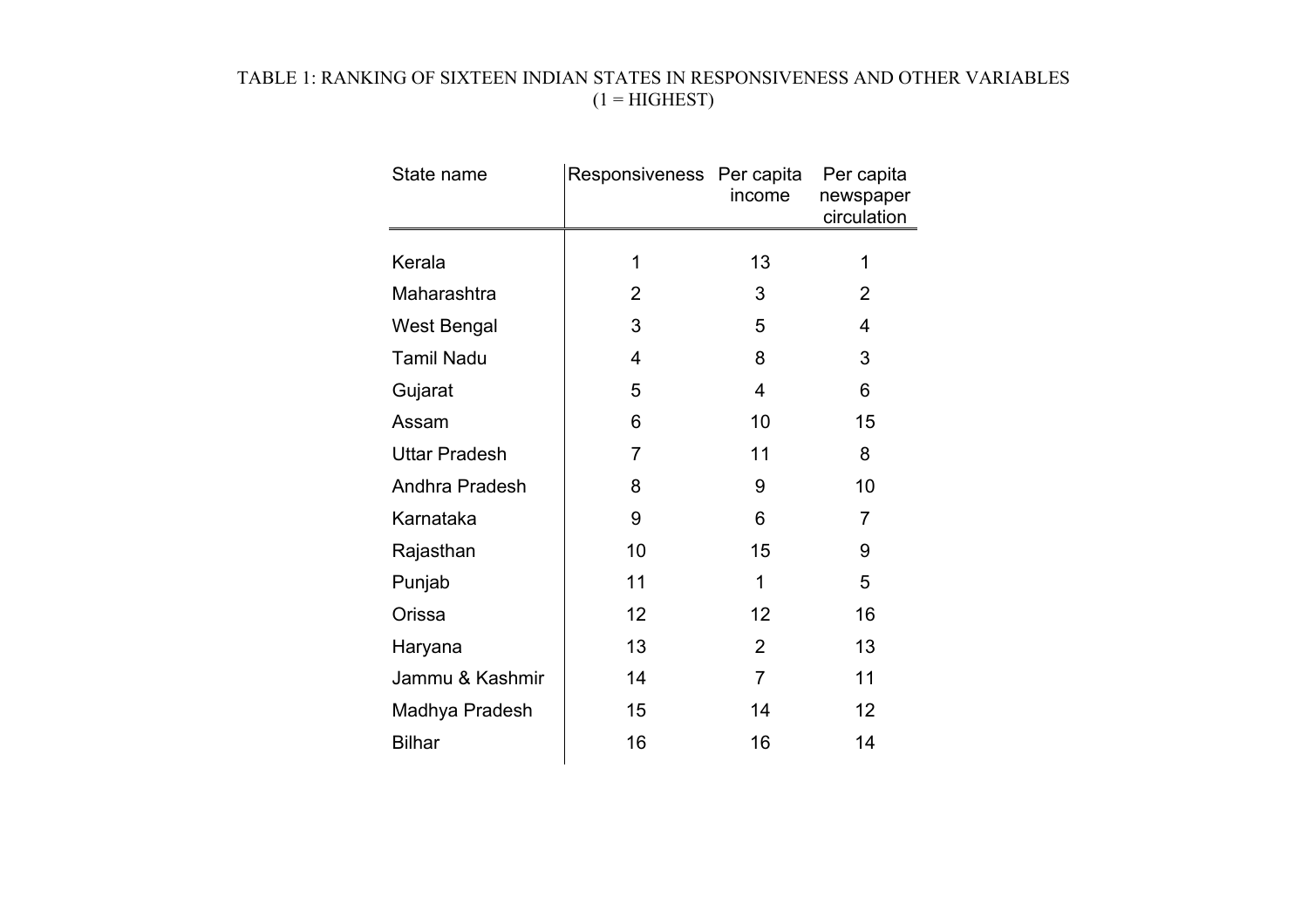### TABLE 1: RANKING OF SIXTEEN INDIAN STATES IN RESPONSIVENESS AND OTHER VARIABLES  $(1 = HIGHEST)$

| State name           | Responsiveness Per capita | income         | Per capita<br>newspaper<br>circulation |
|----------------------|---------------------------|----------------|----------------------------------------|
|                      |                           |                |                                        |
| Kerala               | 1                         | 13             | 1                                      |
| Maharashtra          | 2                         | 3              | $\overline{2}$                         |
| <b>West Bengal</b>   | 3                         | 5              | 4                                      |
| <b>Tamil Nadu</b>    | 4                         | 8              | 3                                      |
| Gujarat              | 5                         | 4              | 6                                      |
| Assam                | 6                         | 10             | 15                                     |
| <b>Uttar Pradesh</b> | 7                         | 11             | 8                                      |
| Andhra Pradesh       | 8                         | 9              | 10                                     |
| Karnataka            | 9                         | 6              | $\overline{7}$                         |
| Rajasthan            | 10                        | 15             | 9                                      |
| Punjab               | 11                        | 1              | 5                                      |
| Orissa               | 12                        | 12             | 16                                     |
| Haryana              | 13                        | $\overline{2}$ | 13                                     |
| Jammu & Kashmir      | 14                        | $\overline{7}$ | 11                                     |
| Madhya Pradesh       | 15                        | 14             | 12                                     |
| <b>Bilhar</b>        | 16                        | 16             | 14                                     |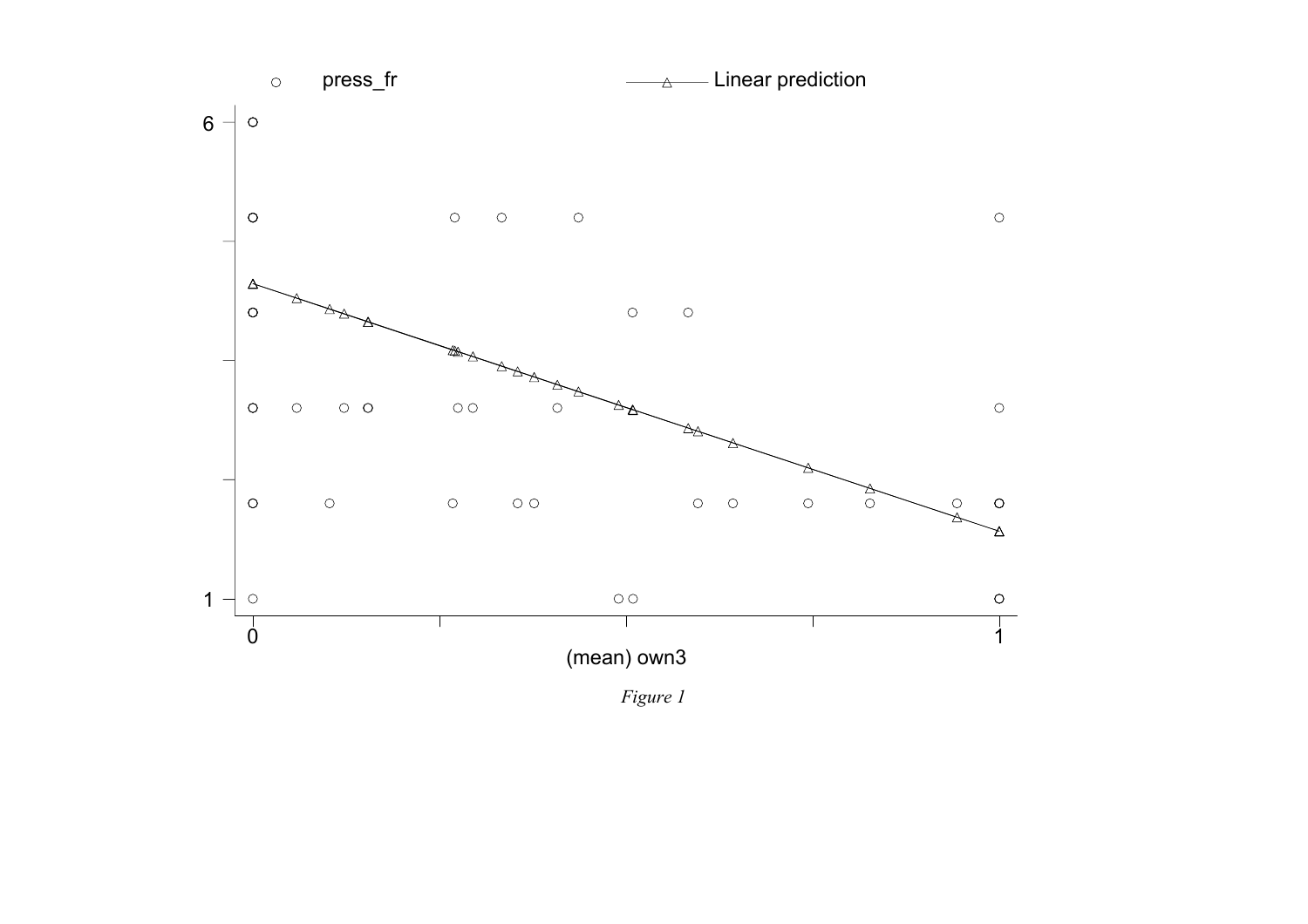